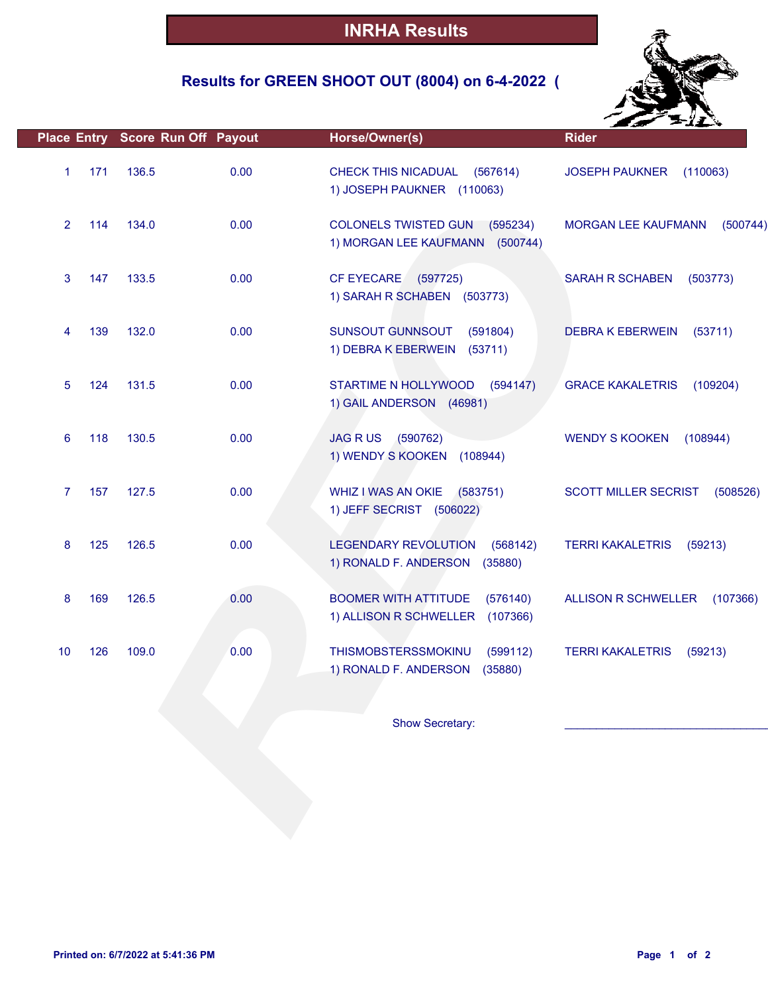## **Results for GREEN SHOOT OUT (8004) on 6-4-2022 (**



|                |     | Place Entry Score Run Off Payout |      | Horse/Owner(s)                                                                | <b>Rider</b>                            |
|----------------|-----|----------------------------------|------|-------------------------------------------------------------------------------|-----------------------------------------|
| $\mathbf{1}$   | 171 | 136.5                            | 0.00 | CHECK THIS NICADUAL<br>(567614)<br>1) JOSEPH PAUKNER (110063)                 | <b>JOSEPH PAUKNER</b><br>(110063)       |
| $\overline{2}$ | 114 | 134.0                            | 0.00 | <b>COLONELS TWISTED GUN</b><br>(595234)<br>1) MORGAN LEE KAUFMANN (500744)    | <b>MORGAN LEE KAUFMANN</b><br>(500744)  |
| 3              | 147 | 133.5                            | 0.00 | <b>CF EYECARE</b><br>(597725)<br>1) SARAH R SCHABEN (503773)                  | <b>SARAH R SCHABEN</b><br>(503773)      |
| 4              | 139 | 132.0                            | 0.00 | SUNSOUT GUNNSOUT<br>(591804)<br>1) DEBRA K EBERWEIN (53711)                   | <b>DEBRA K EBERWEIN</b><br>(53711)      |
| 5              | 124 | 131.5                            | 0.00 | STARTIME N HOLLYWOOD<br>(594147)<br>1) GAIL ANDERSON (46981)                  | <b>GRACE KAKALETRIS</b><br>(109204)     |
| 6              | 118 | 130.5                            | 0.00 | <b>JAG RUS</b><br>(590762)<br>1) WENDY S KOOKEN (108944)                      | <b>WENDY S KOOKEN</b><br>(108944)       |
| $\overline{7}$ | 157 | 127.5                            | 0.00 | WHIZ I WAS AN OKIE<br>(583751)<br>1) JEFF SECRIST (506022)                    | <b>SCOTT MILLER SECRIST</b><br>(508526) |
| 8              | 125 | 126.5                            | 0.00 | <b>LEGENDARY REVOLUTION</b><br>(568142)<br>1) RONALD F. ANDERSON<br>(35880)   | <b>TERRI KAKALETRIS</b><br>(59213)      |
| 8              | 169 | 126.5                            | 0.00 | <b>BOOMER WITH ATTITUDE</b><br>(576140)<br>1) ALLISON R SCHWELLER<br>(107366) | <b>ALLISON R SCHWELLER</b><br>(107366)  |
| 10             | 126 | 109.0                            | 0.00 | THISMOBSTERSSMOKINU<br>(599112)<br>1) RONALD F. ANDERSON<br>(35880)           | <b>TERRI KAKALETRIS</b><br>(59213)      |
|                |     |                                  |      | Show Secretary:                                                               |                                         |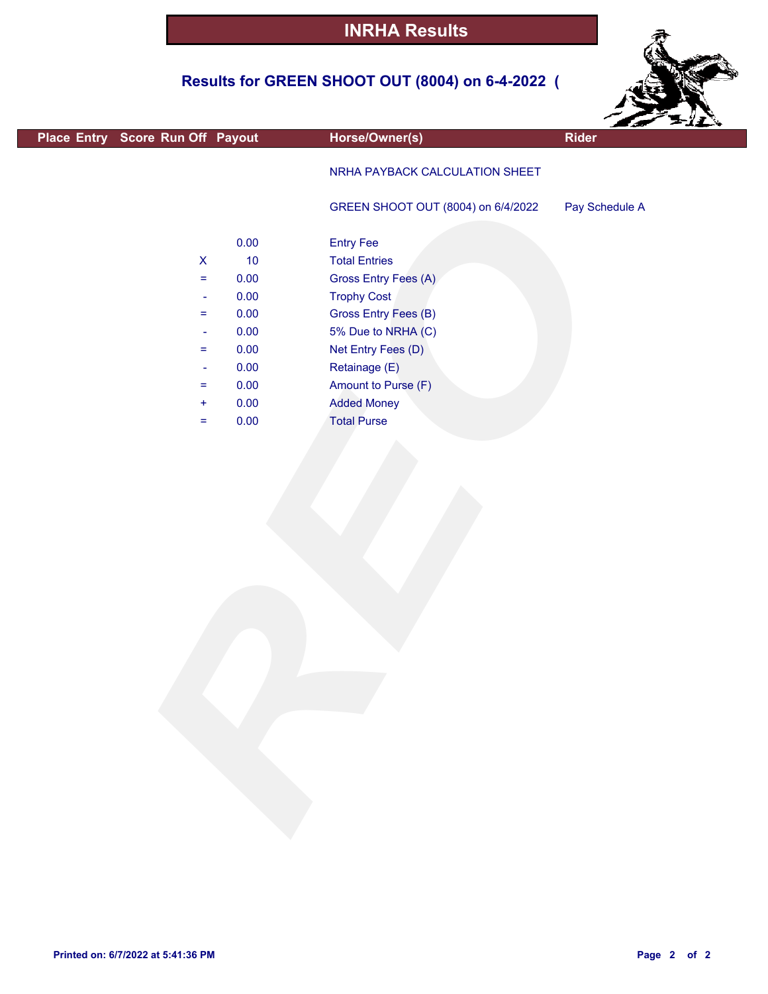## **Results for GREEN SHOOT OUT (8004) on 6-4-2022 (**



| Place Entry Score Run Off Payout | Horse/Owner(s)                                                                                                                                                       | Rider                                                                                                                              |
|----------------------------------|----------------------------------------------------------------------------------------------------------------------------------------------------------------------|------------------------------------------------------------------------------------------------------------------------------------|
|                                  | NRHA PAYBACK CALCULATION SHEET                                                                                                                                       |                                                                                                                                    |
|                                  | GREEN SHOOT OUT (8004) on 6/4/2022                                                                                                                                   | Pay Schedule A                                                                                                                     |
|                                  |                                                                                                                                                                      |                                                                                                                                    |
|                                  |                                                                                                                                                                      |                                                                                                                                    |
|                                  |                                                                                                                                                                      |                                                                                                                                    |
| 0.00                             |                                                                                                                                                                      |                                                                                                                                    |
| 0.00                             | Gross Entry Fees (B)                                                                                                                                                 |                                                                                                                                    |
| 0.00                             | 5% Due to NRHA (C)                                                                                                                                                   |                                                                                                                                    |
| 0.00                             |                                                                                                                                                                      |                                                                                                                                    |
| 0.00                             | Retainage (E)                                                                                                                                                        |                                                                                                                                    |
| 0.00                             | Amount to Purse (F)                                                                                                                                                  |                                                                                                                                    |
| 0.00                             | <b>Added Money</b>                                                                                                                                                   |                                                                                                                                    |
| 0.00                             |                                                                                                                                                                      |                                                                                                                                    |
|                                  |                                                                                                                                                                      |                                                                                                                                    |
|                                  | 0.00<br>$10$<br>$\pmb{\mathsf{X}}$<br>0.00<br>$\equiv$<br>$\blacksquare$<br>$\equiv$<br>$\blacksquare$<br>$\equiv$<br>$\blacksquare$<br>$\equiv$<br>$\ddot{}$<br>$=$ | <b>Entry Fee</b><br><b>Total Entries</b><br>Gross Entry Fees (A)<br><b>Trophy Cost</b><br>Net Entry Fees (D)<br><b>Total Purse</b> |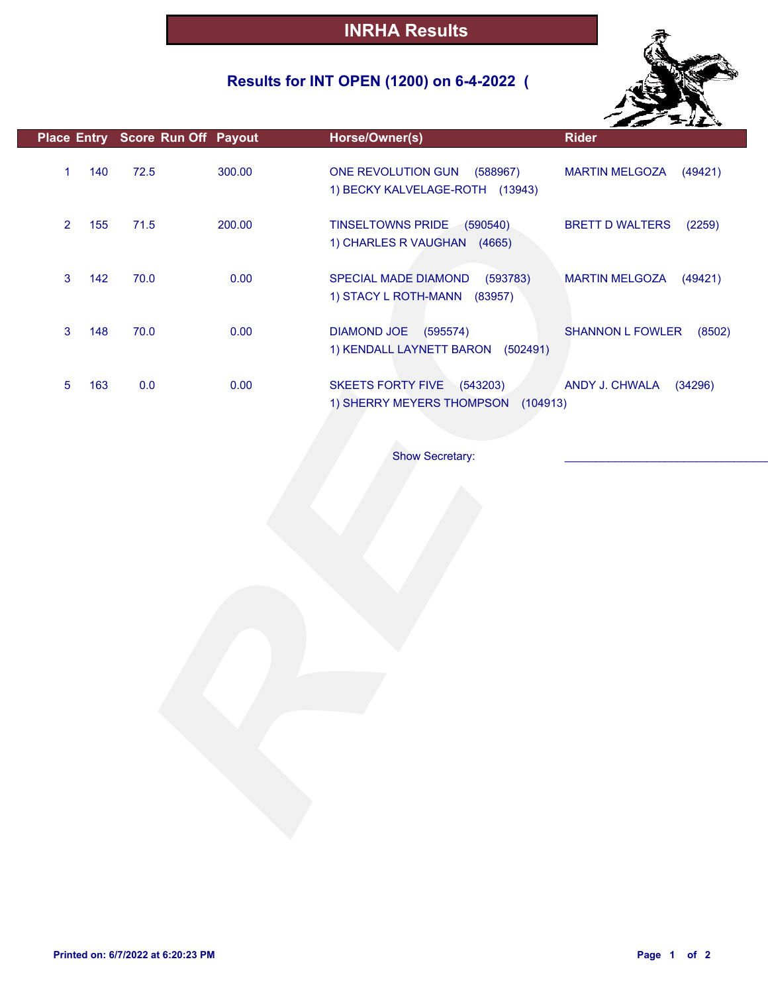## **Results for INT OPEN (1200) on 6-4-2022 (**



|                |     | Place Entry Score Run Off Payout |        | Horse/Owner(s)                                                             | <b>Rider</b>                      |
|----------------|-----|----------------------------------|--------|----------------------------------------------------------------------------|-----------------------------------|
| $\mathbf{1}$   | 140 | 72.5                             | 300.00 | ONE REVOLUTION GUN (588967)<br>1) BECKY KALVELAGE-ROTH (13943)             | MARTIN MELGOZA (49421)            |
| $\overline{2}$ | 155 | 71.5                             | 200.00 | TINSELTOWNS PRIDE (590540)<br>1) CHARLES R VAUGHAN (4665)                  | <b>BRETT D WALTERS</b><br>(2259)  |
| $\mathbf{3}$   | 142 | 70.0                             | 0.00   | SPECIAL MADE DIAMOND<br>(593783)<br>1) STACY L ROTH-MANN (83957)           | MARTIN MELGOZA (49421)            |
| 3              | 148 | 70.0                             | 0.00   | DIAMOND JOE (595574)<br>1) KENDALL LAYNETT BARON (502491)                  | <b>SHANNON L FOWLER</b><br>(8502) |
| 5              | 163 | 0.0                              | 0.00   | <b>SKEETS FORTY FIVE</b><br>(543203)<br>1) SHERRY MEYERS THOMPSON (104913) | ANDY J. CHWALA<br>(34296)         |
|                |     |                                  |        | <b>Show Secretary:</b>                                                     |                                   |
|                |     |                                  |        |                                                                            |                                   |
|                |     |                                  |        |                                                                            |                                   |
|                |     |                                  |        |                                                                            |                                   |
|                |     |                                  |        |                                                                            |                                   |
|                |     |                                  |        |                                                                            |                                   |
|                |     |                                  |        |                                                                            |                                   |
|                |     |                                  |        |                                                                            |                                   |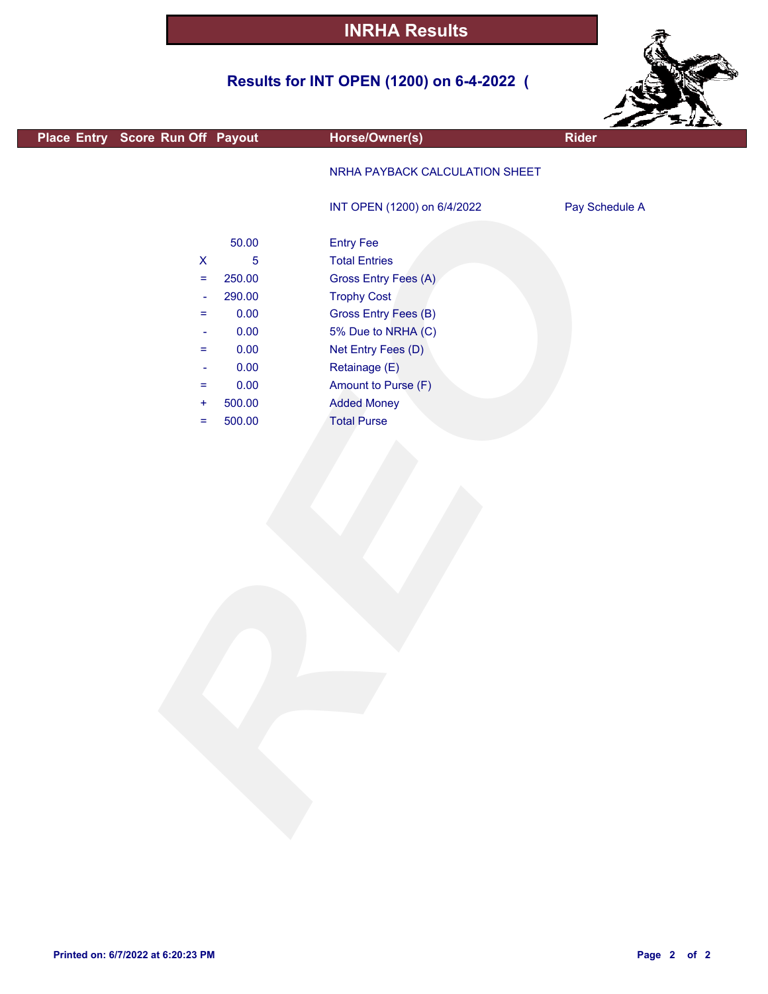## **Results for INT OPEN (1200) on 6-4-2022 (**



|                                  |            |                                | $-11.$         |
|----------------------------------|------------|--------------------------------|----------------|
| Place Entry Score Run Off Payout |            | Horse/Owner(s)                 | Rider          |
|                                  |            | NRHA PAYBACK CALCULATION SHEET |                |
|                                  |            | INT OPEN (1200) on 6/4/2022    | Pay Schedule A |
|                                  | 50.00      | <b>Entry Fee</b>               |                |
| $\pmb{\mathsf{X}}$               | $\sqrt{5}$ | <b>Total Entries</b>           |                |
| $\equiv$                         | 250.00     | Gross Entry Fees (A)           |                |
| $\Box$                           | 290.00     | <b>Trophy Cost</b>             |                |
| $=$                              | 0.00       | <b>Gross Entry Fees (B)</b>    |                |
| ÷                                | 0.00       | 5% Due to NRHA (C)             |                |
| $\equiv$                         | 0.00       | Net Entry Fees (D)             |                |
| $\blacksquare$                   | 0.00       | Retainage (E)                  |                |
| $\equiv$                         | 0.00       | Amount to Purse (F)            |                |
| $\pm$                            | 500.00     | <b>Added Money</b>             |                |
| $\equiv$                         | 500.00     | <b>Total Purse</b>             |                |
|                                  |            |                                |                |
|                                  |            |                                |                |

г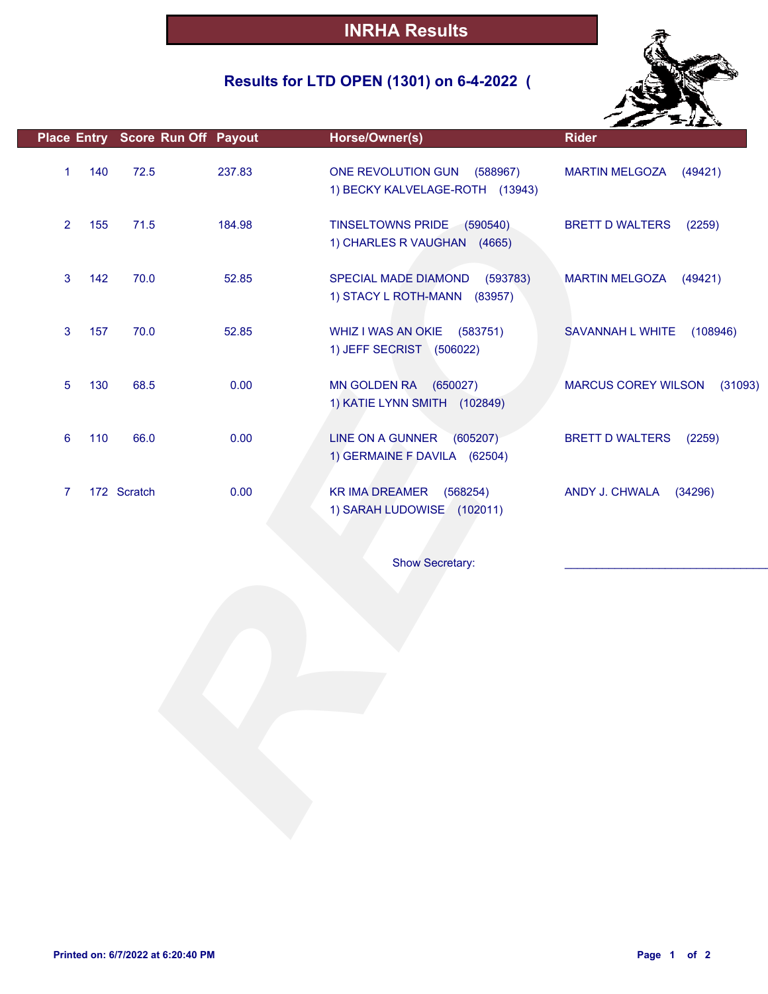## **Results for LTD OPEN (1301) on 6-4-2022 (**



|                |     |             | Place Entry Score Run Off Payout | Horse/Owner(s)                                                    | <b>Rider</b>                          |
|----------------|-----|-------------|----------------------------------|-------------------------------------------------------------------|---------------------------------------|
| 1              | 140 | 72.5        | 237.83                           | ONE REVOLUTION GUN<br>(588967)<br>1) BECKY KALVELAGE-ROTH (13943) | <b>MARTIN MELGOZA</b><br>(49421)      |
| $\overline{2}$ | 155 | 71.5        | 184.98                           | TINSELTOWNS PRIDE (590540)<br>1) CHARLES R VAUGHAN (4665)         | <b>BRETT D WALTERS</b><br>(2259)      |
| 3              | 142 | 70.0        | 52.85                            | SPECIAL MADE DIAMOND<br>(593783)<br>1) STACY L ROTH-MANN (83957)  | <b>MARTIN MELGOZA</b><br>(49421)      |
| 3              | 157 | 70.0        | 52.85                            | WHIZ I WAS AN OKIE (583751)<br>1) JEFF SECRIST (506022)           | SAVANNAH L WHITE<br>(108946)          |
| 5              | 130 | 68.5        | 0.00                             | MN GOLDEN RA (650027)<br>1) KATIE LYNN SMITH (102849)             | <b>MARCUS COREY WILSON</b><br>(31093) |
| 6              | 110 | 66.0        | 0.00                             | LINE ON A GUNNER<br>(605207)<br>1) GERMAINE F DAVILA (62504)      | <b>BRETT D WALTERS</b><br>(2259)      |
| 7              |     | 172 Scratch | 0.00                             | KR IMA DREAMER (568254)<br>1) SARAH LUDOWISE (102011)             | ANDY J. CHWALA (34296)                |
|                |     |             |                                  | <b>Show Secretary:</b>                                            |                                       |
|                |     |             |                                  |                                                                   |                                       |
|                |     |             |                                  |                                                                   |                                       |
|                |     |             |                                  |                                                                   |                                       |
|                |     |             |                                  |                                                                   |                                       |
|                |     |             |                                  |                                                                   |                                       |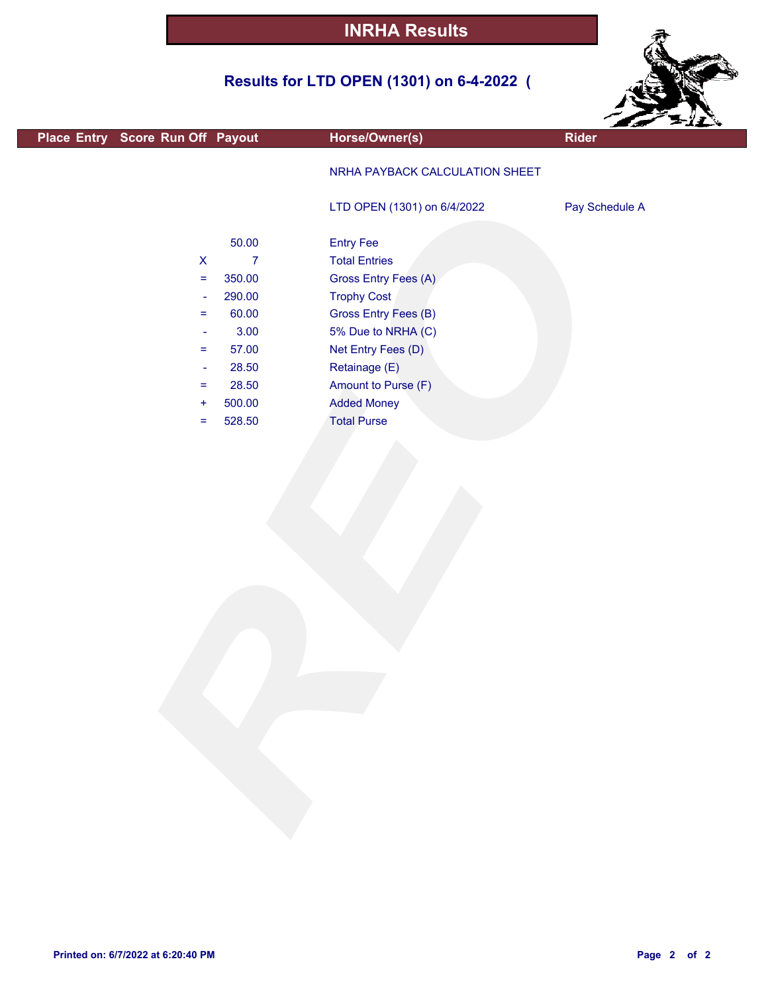## **Results for LTD OPEN (1301) on 6-4-2022 (**



|                                  |                    |                |                                | $\sim$ $\sim$  |
|----------------------------------|--------------------|----------------|--------------------------------|----------------|
| Place Entry Score Run Off Payout |                    |                | Horse/Owner(s)                 | <b>Rider</b>   |
|                                  |                    |                | NRHA PAYBACK CALCULATION SHEET |                |
|                                  |                    |                | LTD OPEN (1301) on 6/4/2022    | Pay Schedule A |
|                                  |                    | 50.00          | <b>Entry Fee</b>               |                |
|                                  | $\pmb{\mathsf{X}}$ | $\overline{7}$ | <b>Total Entries</b>           |                |
|                                  | $\equiv$           | 350.00         | Gross Entry Fees (A)           |                |
|                                  | $\blacksquare$     | 290.00         | <b>Trophy Cost</b>             |                |
|                                  | $=$                | 60.00          | Gross Entry Fees (B)           |                |
|                                  | $\blacksquare$     | 3.00           | 5% Due to NRHA (C)             |                |
|                                  | $=$                | 57.00          | Net Entry Fees (D)             |                |
|                                  | $\blacksquare$     | 28.50          | Retainage (E)                  |                |
|                                  | $\equiv$           | 28.50          | Amount to Purse (F)            |                |
|                                  | $\ddot{}$          | 500.00         | <b>Added Money</b>             |                |
|                                  | $\equiv$           | 528.50         | <b>Total Purse</b>             |                |
|                                  |                    |                |                                |                |

L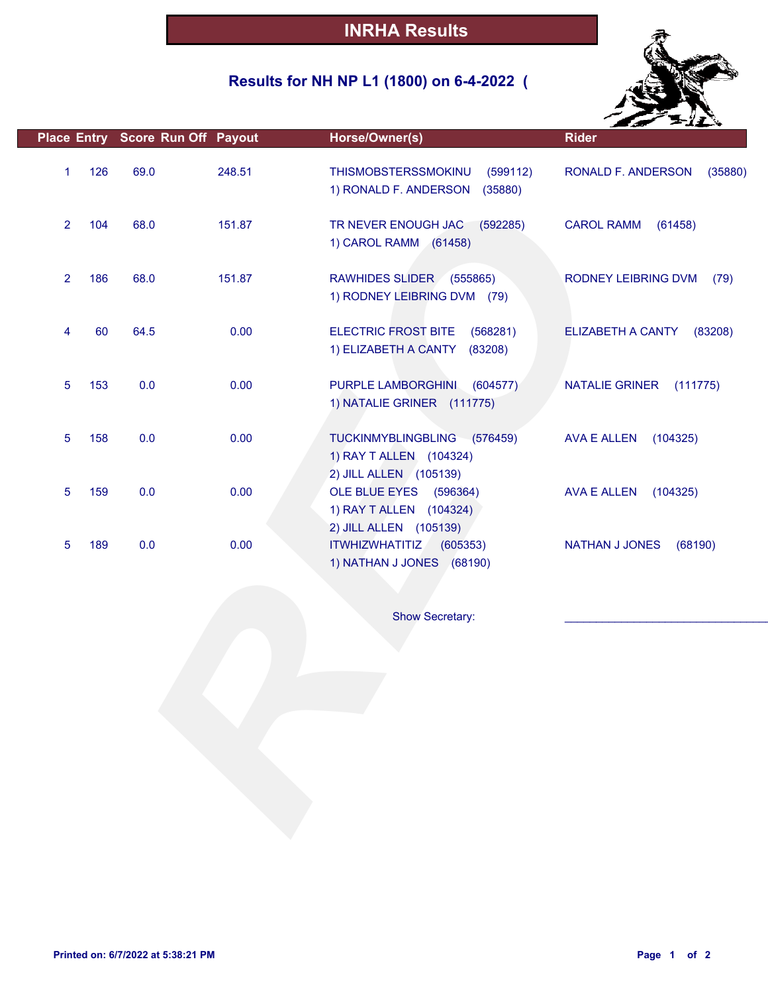## **Results for NH NP L1 (1800) on 6-4-2022 (**



|                |     | Place Entry Score Run Off Payout |        | Horse/Owner(s)                                                                   | <b>Rider</b>                      |
|----------------|-----|----------------------------------|--------|----------------------------------------------------------------------------------|-----------------------------------|
| 1              | 126 | 69.0                             | 248.51 | THISMOBSTERSSMOKINU<br>(599112)<br>1) RONALD F. ANDERSON<br>(35880)              | RONALD F. ANDERSON<br>(35880)     |
| $\overline{2}$ | 104 | 68.0                             | 151.87 | TR NEVER ENOUGH JAC<br>(592285)<br>1) CAROL RAMM (61458)                         | <b>CAROL RAMM</b><br>(61458)      |
| $\overline{2}$ | 186 | 68.0                             | 151.87 | RAWHIDES SLIDER (555865)<br>1) RODNEY LEIBRING DVM (79)                          | RODNEY LEIBRING DVM<br>(79)       |
| 4              | 60  | 64.5                             | 0.00   | <b>ELECTRIC FROST BITE</b><br>(568281)<br>1) ELIZABETH A CANTY<br>(83208)        | ELIZABETH A CANTY<br>(83208)      |
| 5              | 153 | 0.0                              | 0.00   | PURPLE LAMBORGHINI<br>(604577)<br>1) NATALIE GRINER (111775)                     | <b>NATALIE GRINER</b><br>(111775) |
| 5              | 158 | 0.0                              | 0.00   | TUCKINMYBLINGBLING (576459)<br>1) RAY T ALLEN (104324)<br>2) JILL ALLEN (105139) | <b>AVA E ALLEN</b><br>(104325)    |
| 5              | 159 | 0.0                              | 0.00   | OLE BLUE EYES (596364)<br>1) RAY T ALLEN (104324)<br>2) JILL ALLEN (105139)      | <b>AVA E ALLEN</b><br>(104325)    |
| 5              | 189 | 0.0                              | 0.00   | <b>ITWHIZWHATITIZ</b><br>(605353)<br>1) NATHAN J JONES (68190)                   | <b>NATHAN J JONES</b><br>(68190)  |
|                |     |                                  |        |                                                                                  |                                   |
|                |     |                                  |        | Show Secretary:                                                                  |                                   |
|                |     |                                  |        |                                                                                  |                                   |
|                |     |                                  |        |                                                                                  |                                   |
|                |     |                                  |        |                                                                                  |                                   |
|                |     |                                  |        |                                                                                  |                                   |
|                |     |                                  |        |                                                                                  |                                   |
|                |     |                                  |        |                                                                                  |                                   |
|                |     |                                  |        |                                                                                  |                                   |
|                |     |                                  |        |                                                                                  |                                   |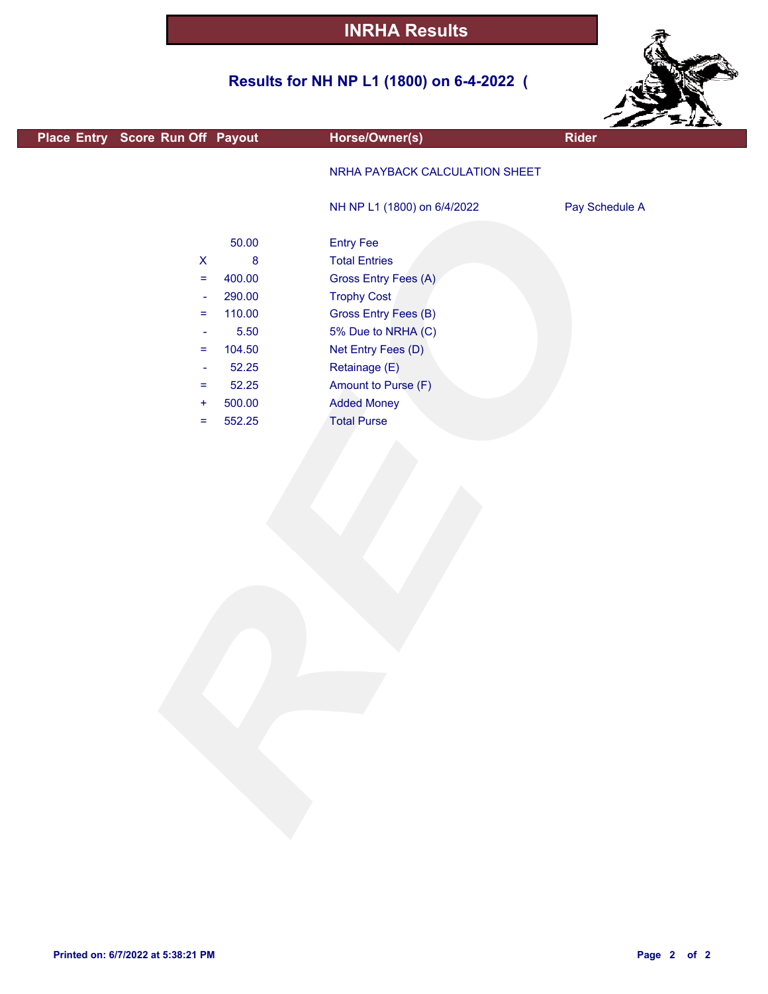## **Results for NH NP L1 (1800) on 6-4-2022 (**



|                                  |         |                                | <b>Corrella</b> |
|----------------------------------|---------|--------------------------------|-----------------|
| Place Entry Score Run Off Payout |         | Horse/Owner(s)                 | Rider           |
|                                  |         | NRHA PAYBACK CALCULATION SHEET |                 |
|                                  |         | NH NP L1 (1800) on 6/4/2022    | Pay Schedule A  |
|                                  | 50.00   | <b>Entry Fee</b>               |                 |
| $\boldsymbol{\mathsf{X}}$        | $\bf 8$ | <b>Total Entries</b>           |                 |
| $\equiv$                         | 400.00  | Gross Entry Fees (A)           |                 |
| $\rightarrow$                    | 290.00  | <b>Trophy Cost</b>             |                 |
| $\equiv$                         | 110.00  | <b>Gross Entry Fees (B)</b>    |                 |
| $\overline{\phantom{a}}$         | 5.50    | 5% Due to NRHA (C)             |                 |
| $\equiv$                         | 104.50  | Net Entry Fees (D)             |                 |
| $\overline{\phantom{a}}$         | 52.25   | Retainage (E)                  |                 |
| $\equiv$                         | 52.25   | Amount to Purse (F)            |                 |
| $\ddot{}$                        | 500.00  | <b>Added Money</b>             |                 |
| $=$                              | 552.25  | <b>Total Purse</b>             |                 |
|                                  |         |                                |                 |
|                                  |         |                                |                 |
|                                  |         |                                |                 |
|                                  |         |                                |                 |
|                                  |         |                                |                 |
|                                  |         |                                |                 |
|                                  |         |                                |                 |
|                                  |         |                                |                 |
|                                  |         |                                |                 |
|                                  |         |                                |                 |
|                                  |         |                                |                 |
|                                  |         |                                |                 |
|                                  |         |                                |                 |
|                                  |         |                                |                 |
|                                  |         |                                |                 |
|                                  |         |                                |                 |
|                                  |         |                                |                 |
|                                  |         |                                |                 |
|                                  |         |                                |                 |
|                                  |         |                                |                 |
|                                  |         |                                |                 |
|                                  |         |                                |                 |
|                                  |         |                                |                 |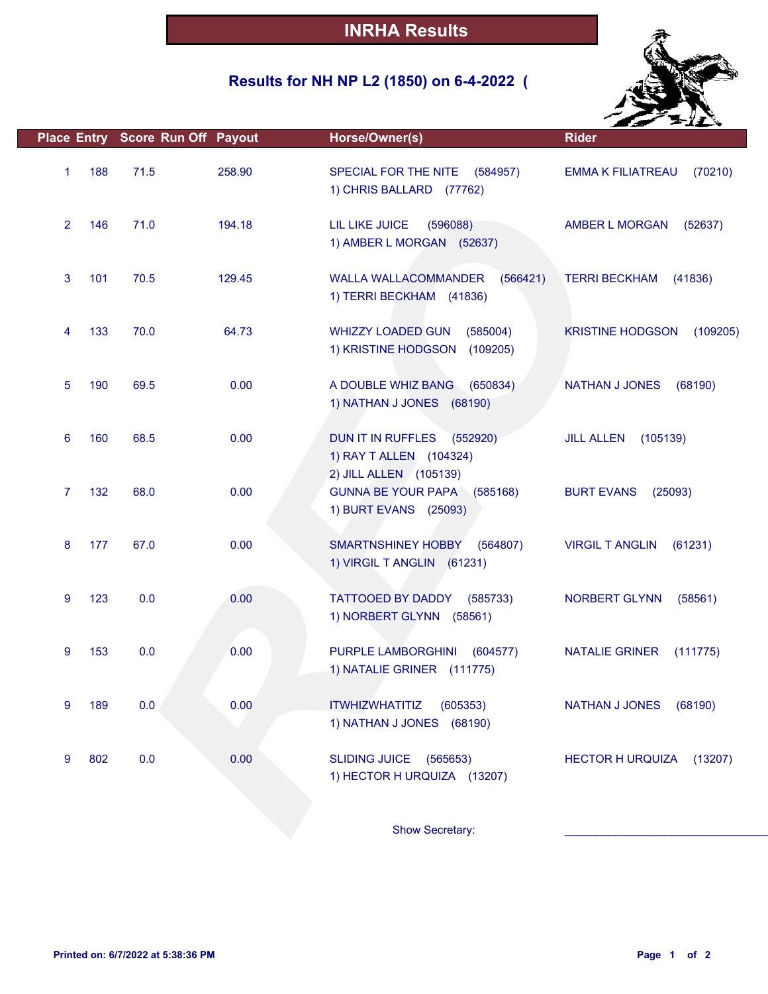# **Results for NH NP L2 (1850) on 6-4-2022 (**



|                       | Place Entry Score Run Off Payout |        | Horse/Owner(s)                                                                 | <b>Rider</b>                        |
|-----------------------|----------------------------------|--------|--------------------------------------------------------------------------------|-------------------------------------|
| 188<br>1              | 71.5                             | 258.90 | SPECIAL FOR THE NITE<br>(584957)<br>1) CHRIS BALLARD (77762)                   | (70210)<br><b>EMMA K FILIATREAU</b> |
| $\overline{2}$<br>146 | 71.0                             | 194.18 | LIL LIKE JUICE<br>(596088)<br>1) AMBER L MORGAN (52637)                        | AMBER L MORGAN<br>(52637)           |
| 3<br>101              | 70.5                             | 129.45 | <b>WALLA WALLACOMMANDER</b><br>(566421)<br>1) TERRI BECKHAM (41836)            | <b>TERRI BECKHAM</b><br>(41836)     |
| 133<br>4              | 70.0                             | 64.73  | <b>WHIZZY LOADED GUN</b><br>(585004)<br>1) KRISTINE HODGSON<br>(109205)        | <b>KRISTINE HODGSON</b><br>(109205) |
| 5<br>190              | 69.5                             | 0.00   | A DOUBLE WHIZ BANG<br>(650834)<br>1) NATHAN J JONES (68190)                    | <b>NATHAN J JONES</b><br>(68190)    |
| 6<br>160              | 68.5                             | 0.00   | DUN IT IN RUFFLES<br>(552920)<br>1) RAY T ALLEN (104324)                       | <b>JILL ALLEN</b><br>(105139)       |
| 132<br>7              | 68.0                             | 0.00   | 2) JILL ALLEN (105139)<br>GUNNA BE YOUR PAPA (585168)<br>1) BURT EVANS (25093) | <b>BURT EVANS</b><br>(25093)        |
| 8<br>177              | 67.0                             | 0.00   | <b>SMARTNSHINEY HOBBY</b><br>(564807)<br>1) VIRGIL T ANGLIN (61231)            | <b>VIRGIL T ANGLIN</b><br>(61231)   |
| 123<br>9              | 0.0                              | 0.00   | TATTOOED BY DADDY<br>(585733)<br>1) NORBERT GLYNN (58561)                      | NORBERT GLYNN<br>(58561)            |
| 153<br>9              | 0.0                              | 0.00   | PURPLE LAMBORGHINI<br>(604577)<br>1) NATALIE GRINER (111775)                   | <b>NATALIE GRINER</b><br>(111775)   |
| 9<br>189              | 0.0                              | 0.00   | <b>ITWHIZWHATITIZ</b><br>(605353)<br>1) NATHAN J JONES (68190)                 | <b>NATHAN J JONES</b><br>(68190)    |
| 802<br>9              | 0.0                              | 0.00   | <b>SLIDING JUICE</b><br>(565653)<br>1) HECTOR H URQUIZA (13207)                | <b>HECTOR H URQUIZA</b><br>(13207)  |
|                       |                                  |        | Show Secretary:                                                                |                                     |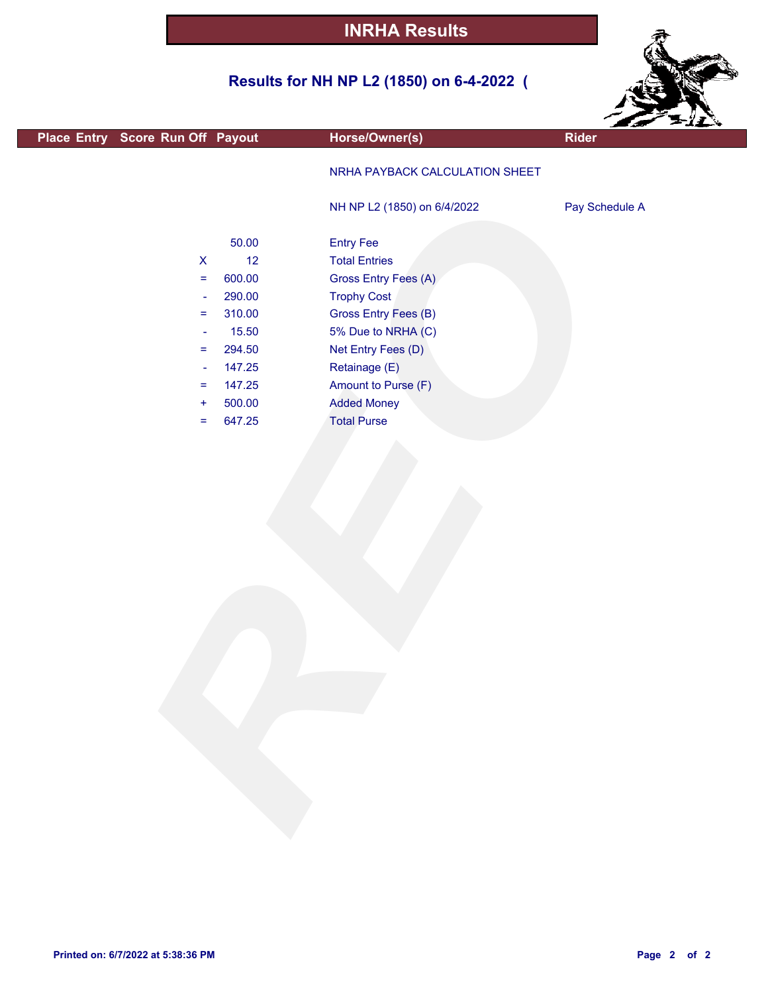## **Results for NH NP L2 (1850) on 6-4-2022 (**



| Place Entry Score Run Off Payout                                                                                                                         |                                                                                                      | Horse/Owner(s)                                                                                                                                                                                                                                 | $\sim$ $\sim$ $\sim$<br>Rider |
|----------------------------------------------------------------------------------------------------------------------------------------------------------|------------------------------------------------------------------------------------------------------|------------------------------------------------------------------------------------------------------------------------------------------------------------------------------------------------------------------------------------------------|-------------------------------|
|                                                                                                                                                          |                                                                                                      | NRHA PAYBACK CALCULATION SHEET                                                                                                                                                                                                                 |                               |
|                                                                                                                                                          |                                                                                                      | NH NP L2 (1850) on 6/4/2022                                                                                                                                                                                                                    | Pay Schedule A                |
| $\pmb{\mathsf{X}}$<br>$\equiv$<br>$\overline{\phantom{a}}$<br>$\equiv$<br>$\rightarrow$<br>$\equiv$<br>$\overline{\phantom{a}}$<br>Ξ<br>$\ddot{}$<br>$=$ | 50.00<br>12<br>600.00<br>290.00<br>310.00<br>15.50<br>294.50<br>147.25<br>147.25<br>500.00<br>647.25 | <b>Entry Fee</b><br><b>Total Entries</b><br>Gross Entry Fees (A)<br><b>Trophy Cost</b><br>Gross Entry Fees (B)<br>5% Due to NRHA (C)<br>Net Entry Fees (D)<br>Retainage (E)<br>Amount to Purse (F)<br><b>Added Money</b><br><b>Total Purse</b> |                               |
|                                                                                                                                                          |                                                                                                      |                                                                                                                                                                                                                                                |                               |
|                                                                                                                                                          |                                                                                                      |                                                                                                                                                                                                                                                |                               |

L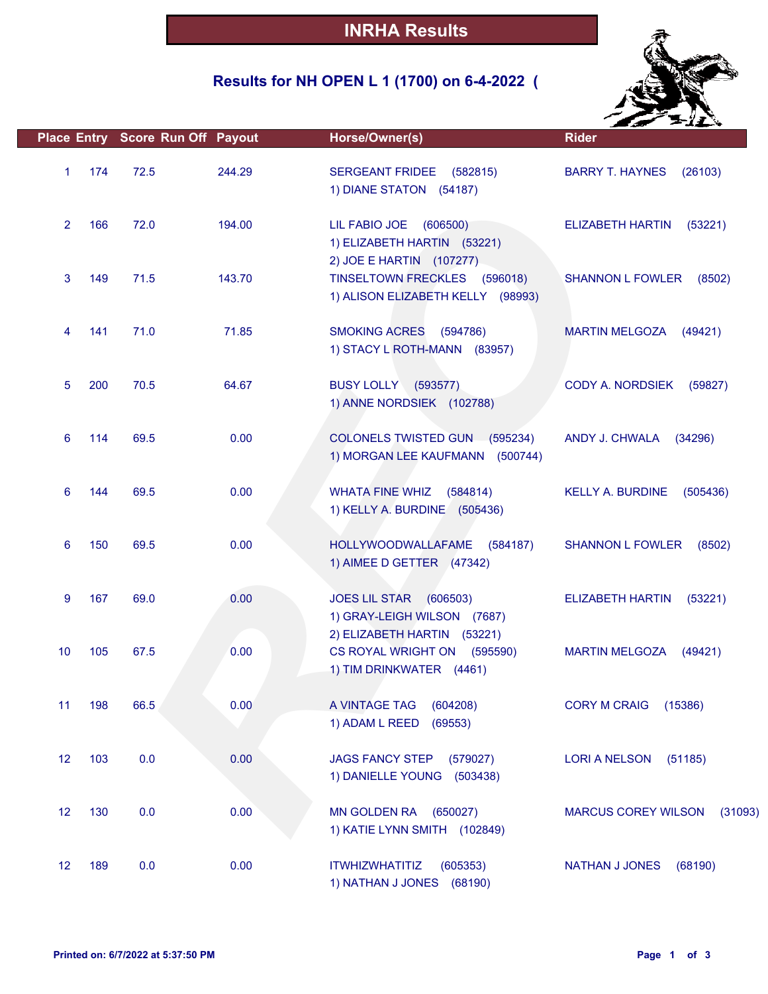## **Results for NH OPEN L 1 (1700) on 6-4-2022 (**



|                |     | Place Entry Score Run Off Payout |        | Horse/Owner(s)                                                                       | <b>Rider</b>                          |
|----------------|-----|----------------------------------|--------|--------------------------------------------------------------------------------------|---------------------------------------|
| $\mathbf{1}$   | 174 | 72.5                             | 244.29 | SERGEANT FRIDEE (582815)<br>1) DIANE STATON (54187)                                  | <b>BARRY T. HAYNES</b><br>(26103)     |
| $\overline{2}$ | 166 | 72.0                             | 194.00 | LIL FABIO JOE<br>(606500)<br>1) ELIZABETH HARTIN (53221)<br>2) JOE E HARTIN (107277) | ELIZABETH HARTIN<br>(53221)           |
| 3              | 149 | 71.5                             | 143.70 | TINSELTOWN FRECKLES (596018)<br>1) ALISON ELIZABETH KELLY (98993)                    | <b>SHANNON L FOWLER</b><br>(8502)     |
| 4              | 141 | 71.0                             | 71.85  | SMOKING ACRES (594786)<br>1) STACY L ROTH-MANN (83957)                               | <b>MARTIN MELGOZA</b><br>(49421)      |
| 5              | 200 | 70.5                             | 64.67  | <b>BUSY LOLLY (593577)</b><br>1) ANNE NORDSIEK (102788)                              | CODY A. NORDSIEK<br>(59827)           |
| 6              | 114 | 69.5                             | 0.00   | COLONELS TWISTED GUN (595234)<br>1) MORGAN LEE KAUFMANN (500744)                     | ANDY J. CHWALA<br>(34296)             |
| 6              | 144 | 69.5                             | 0.00   | <b>WHATA FINE WHIZ</b><br>(584814)<br>1) KELLY A. BURDINE (505436)                   | <b>KELLY A. BURDINE</b><br>(505436)   |
| 6              | 150 | 69.5                             | 0.00   | HOLLYWOODWALLAFAME (584187)<br>1) AIMEE D GETTER (47342)                             | <b>SHANNON L FOWLER</b><br>(8502)     |
| 9              | 167 | 69.0                             | 0.00   | JOES LIL STAR (606503)<br>1) GRAY-LEIGH WILSON (7687)<br>2) ELIZABETH HARTIN (53221) | <b>ELIZABETH HARTIN</b><br>(53221)    |
| 10             | 105 | 67.5                             | 0.00   | CS ROYAL WRIGHT ON (595590)<br>1) TIM DRINKWATER (4461)                              | <b>MARTIN MELGOZA</b><br>(49421)      |
| 11             | 198 | 66.5                             | 0.00   | A VINTAGE TAG<br>(604208)<br>1) ADAM L REED (69553)                                  | <b>CORY M CRAIG</b><br>(15386)        |
| 12             | 103 | 0.0                              | 0.00   | <b>JAGS FANCY STEP</b><br>(579027)<br>1) DANIELLE YOUNG (503438)                     | <b>LORI A NELSON</b><br>(51185)       |
| 12             | 130 | 0.0                              | 0.00   | MN GOLDEN RA (650027)<br>1) KATIE LYNN SMITH (102849)                                | <b>MARCUS COREY WILSON</b><br>(31093) |
| 12             | 189 | 0.0                              | 0.00   | <b>ITWHIZWHATITIZ</b><br>(605353)<br>1) NATHAN J JONES (68190)                       | <b>NATHAN J JONES</b><br>(68190)      |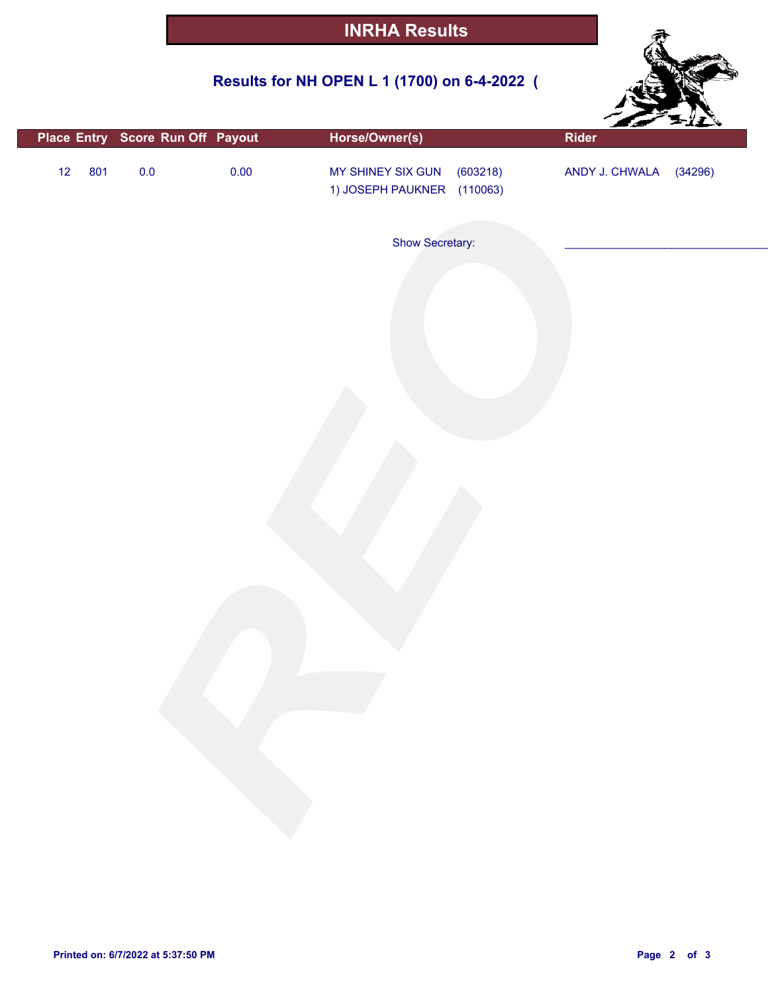## **Results for NH OPEN L 1 (1700) on 6-4-2022 (**



|    |     |         | Place Entry Score Run Off Payout | Horse/Owner(s)                                              | an an<br>Rider |         |
|----|-----|---------|----------------------------------|-------------------------------------------------------------|----------------|---------|
| 12 | 801 | $0.0\,$ | 0.00                             | MY SHINEY SIX GUN<br>(603218)<br>1) JOSEPH PAUKNER (110063) | ANDY J. CHWALA | (34296) |
|    |     |         |                                  | Show Secretary:                                             |                |         |
|    |     |         |                                  |                                                             |                |         |
|    |     |         |                                  |                                                             |                |         |
|    |     |         |                                  |                                                             |                |         |
|    |     |         |                                  |                                                             |                |         |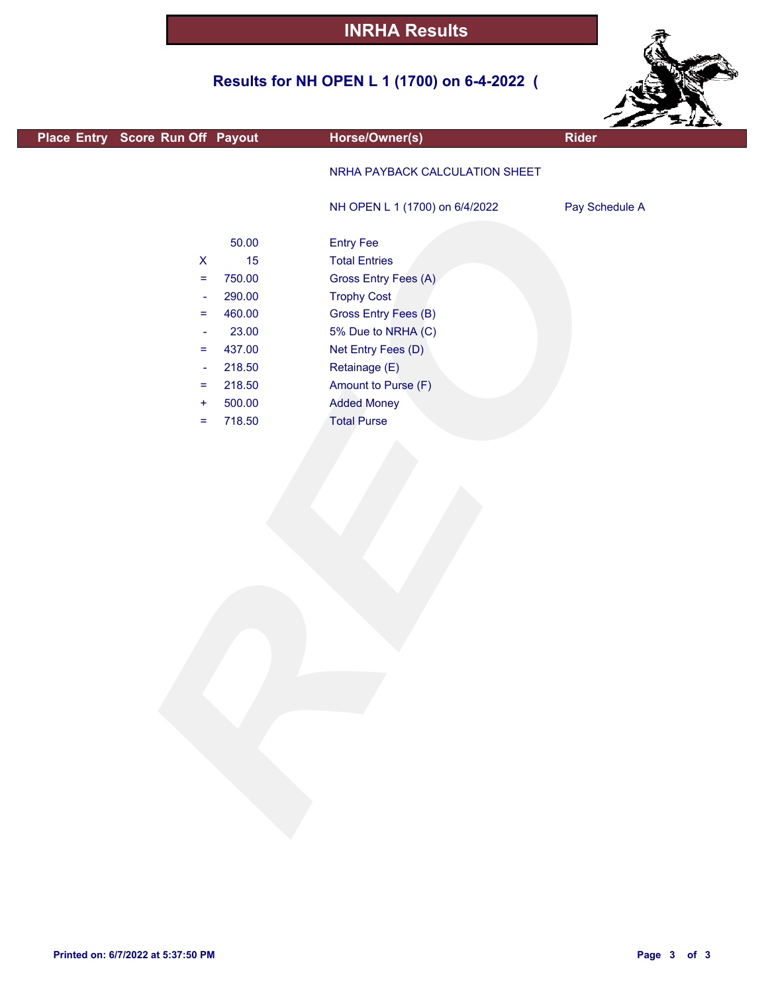## **Results for NH OPEN L 1 (1700) on 6-4-2022 (**



| Place Entry Score Run Off Payout |        | Horse/Owner(s)                 | - 5<br>Rider   |
|----------------------------------|--------|--------------------------------|----------------|
|                                  |        |                                |                |
|                                  |        | NRHA PAYBACK CALCULATION SHEET |                |
|                                  |        | NH OPEN L 1 (1700) on 6/4/2022 | Pay Schedule A |
|                                  |        |                                |                |
|                                  | 50.00  | <b>Entry Fee</b>               |                |
| $\boldsymbol{\mathsf{X}}$        | 15     | <b>Total Entries</b>           |                |
| $\equiv$                         | 750.00 | Gross Entry Fees (A)           |                |
| ÷                                | 290.00 | <b>Trophy Cost</b>             |                |
| $=$                              | 460.00 | Gross Entry Fees (B)           |                |
| $\blacksquare$                   | 23.00  | 5% Due to NRHA (C)             |                |
| =                                | 437.00 | Net Entry Fees (D)             |                |
| $\blacksquare$                   | 218.50 | Retainage (E)                  |                |
| =                                | 218.50 | Amount to Purse (F)            |                |
| $\ddot{}$                        | 500.00 | <b>Added Money</b>             |                |
| =                                | 718.50 | <b>Total Purse</b>             |                |
|                                  |        |                                |                |
|                                  |        |                                |                |
|                                  |        |                                |                |
|                                  |        |                                |                |
|                                  |        |                                |                |
|                                  |        |                                |                |
|                                  |        |                                |                |
|                                  |        |                                |                |
|                                  |        |                                |                |
|                                  |        |                                |                |
|                                  |        |                                |                |
|                                  |        |                                |                |
|                                  |        |                                |                |
|                                  |        |                                |                |
|                                  |        |                                |                |
|                                  |        |                                |                |
|                                  |        |                                |                |
|                                  |        |                                |                |
|                                  |        |                                |                |
|                                  |        |                                |                |
|                                  |        |                                |                |
|                                  |        |                                |                |
|                                  |        |                                |                |

г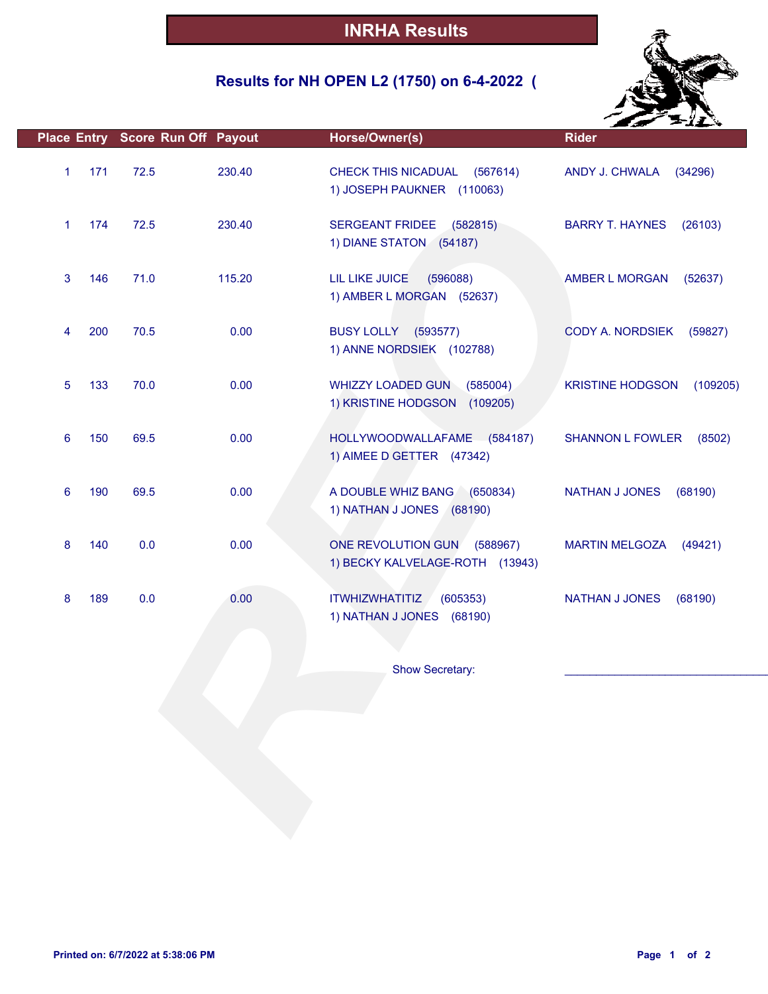## **Results for NH OPEN L2 (1750) on 6-4-2022 (**



|   |     | Place Entry Score Run Off Payout |        | Horse/Owner(s)                                                                    | <b>Rider</b>                        |
|---|-----|----------------------------------|--------|-----------------------------------------------------------------------------------|-------------------------------------|
| 1 | 171 | 72.5                             | 230.40 | CHECK THIS NICADUAL<br>(567614)<br>1) JOSEPH PAUKNER (110063)                     | ANDY J. CHWALA<br>(34296)           |
| 1 | 174 | 72.5                             | 230.40 | SERGEANT FRIDEE (582815)<br>1) DIANE STATON (54187)                               | <b>BARRY T. HAYNES</b><br>(26103)   |
| 3 | 146 | 71.0                             | 115.20 | LIL LIKE JUICE<br>(596088)<br>1) AMBER L MORGAN (52637)                           | AMBER L MORGAN<br>(52637)           |
| 4 | 200 | 70.5                             | 0.00   | BUSY LOLLY (593577)<br>1) ANNE NORDSIEK (102788)                                  | CODY A. NORDSIEK<br>(59827)         |
| 5 | 133 | 70.0                             | 0.00   | <b>WHIZZY LOADED GUN</b><br>(585004)<br>1) KRISTINE HODGSON<br>(109205)           | <b>KRISTINE HODGSON</b><br>(109205) |
| 6 | 150 | 69.5                             | 0.00   | HOLLYWOODWALLAFAME (584187)<br>1) AIMEE D GETTER (47342)                          | <b>SHANNON L FOWLER</b><br>(8502)   |
| 6 | 190 | 69.5                             | 0.00   | A DOUBLE WHIZ BANG (650834)<br>1) NATHAN J JONES (68190)                          | <b>NATHAN J JONES</b><br>(68190)    |
| 8 | 140 | 0.0                              | 0.00   | ONE REVOLUTION GUN<br>(588967)<br>1) BECKY KALVELAGE-ROTH (13943)                 | <b>MARTIN MELGOZA</b><br>(49421)    |
| 8 | 189 | 0.0                              | 0.00   | <b>ITWHIZWHATITIZ</b><br>(605353)<br>1) NATHAN J JONES (68190)<br>Show Secretary: | <b>NATHAN J JONES</b><br>(68190)    |
|   |     |                                  |        |                                                                                   |                                     |
|   |     |                                  |        |                                                                                   |                                     |
|   |     |                                  |        |                                                                                   |                                     |
|   |     |                                  |        |                                                                                   |                                     |
|   |     |                                  |        |                                                                                   |                                     |
|   |     |                                  |        |                                                                                   |                                     |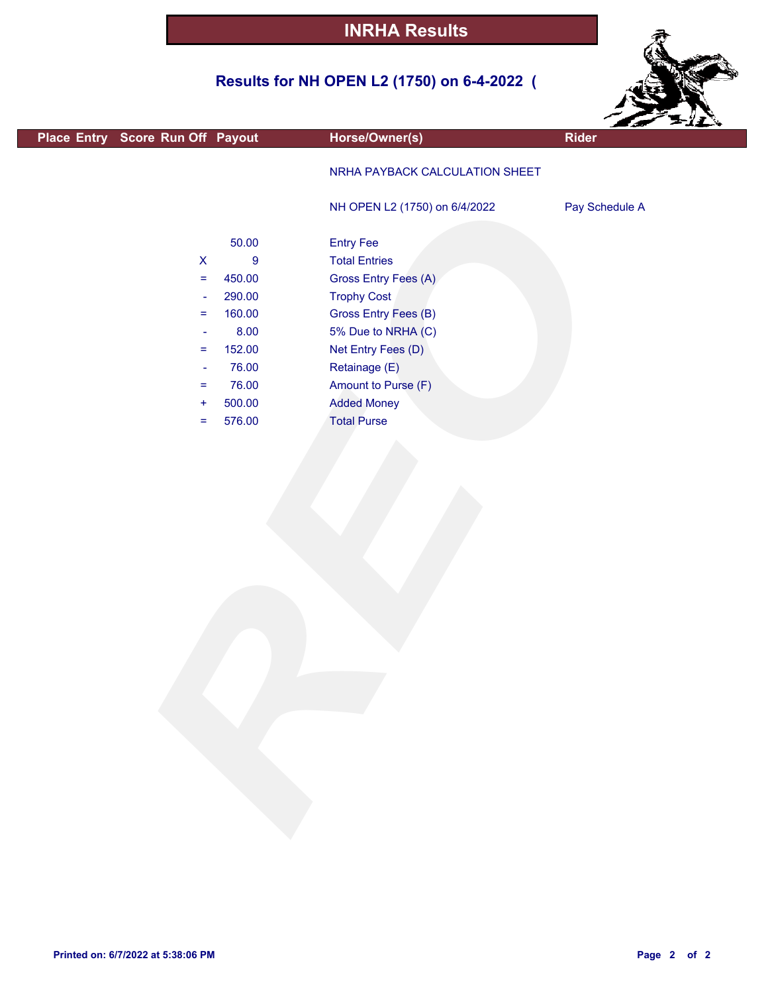## **Results for NH OPEN L2 (1750) on 6-4-2022 (**



|                                  |                |                                | $\sim$ $\sim$ $\sim$ |
|----------------------------------|----------------|--------------------------------|----------------------|
| Place Entry Score Run Off Payout |                | Horse/Owner(s)                 | <b>Rider</b>         |
|                                  |                | NRHA PAYBACK CALCULATION SHEET |                      |
|                                  |                | NH OPEN L2 (1750) on 6/4/2022  | Pay Schedule A       |
|                                  | 50.00          | <b>Entry Fee</b>               |                      |
| $\boldsymbol{\mathsf{X}}$        | $\overline{9}$ | <b>Total Entries</b>           |                      |
| $\equiv$                         | 450.00         | Gross Entry Fees (A)           |                      |
| $\rightarrow$                    | 290.00         | <b>Trophy Cost</b>             |                      |
| $\equiv$                         | 160.00         | Gross Entry Fees (B)           |                      |
| $\blacksquare$                   | 8.00           | 5% Due to NRHA (C)             |                      |
| $\equiv$                         | 152.00         | Net Entry Fees (D)             |                      |
| $\blacksquare$                   | 76.00          | Retainage (E)                  |                      |
| $\equiv$                         | 76.00          | Amount to Purse (F)            |                      |
| $+$                              | 500.00         | <b>Added Money</b>             |                      |
| $=$                              | 576.00         | <b>Total Purse</b>             |                      |
|                                  |                |                                |                      |
|                                  |                |                                |                      |
|                                  |                |                                |                      |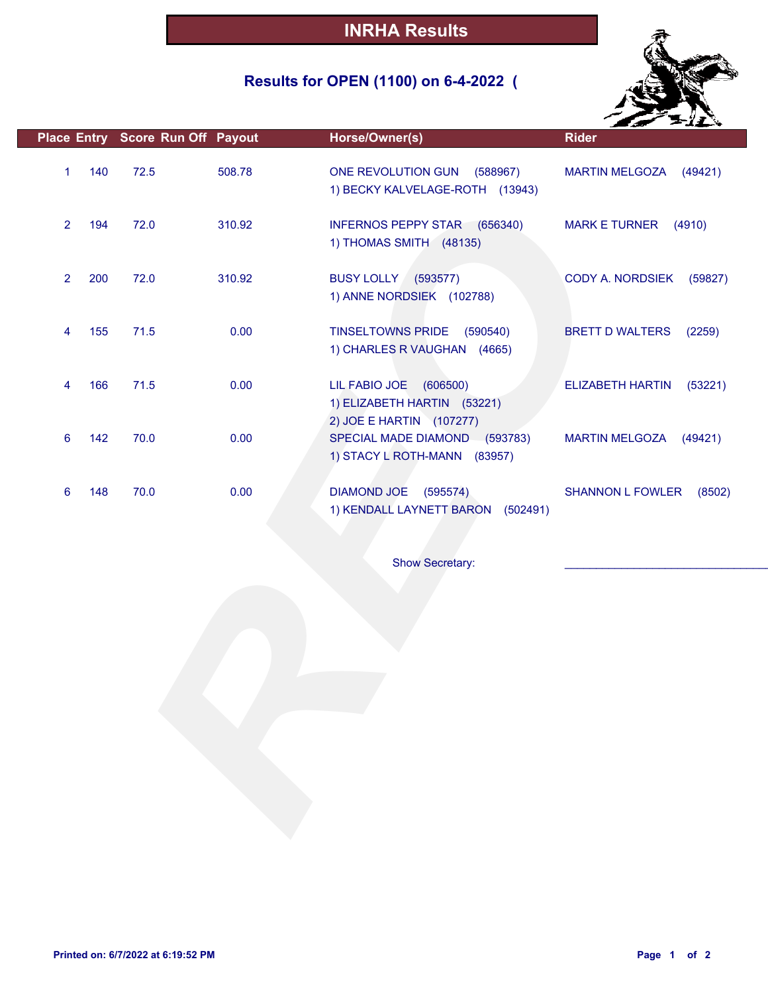## **Results for OPEN (1100) on 6-4-2022 (**



|                |     | Place Entry Score Run Off Payout |        | Horse/Owner(s)                                                                    | <b>Rider</b>                       |
|----------------|-----|----------------------------------|--------|-----------------------------------------------------------------------------------|------------------------------------|
| 1              | 140 | 72.5                             | 508.78 | ONE REVOLUTION GUN (588967)<br>1) BECKY KALVELAGE-ROTH (13943)                    | <b>MARTIN MELGOZA</b><br>(49421)   |
| $\overline{2}$ | 194 | 72.0                             | 310.92 | INFERNOS PEPPY STAR (656340)<br>1) THOMAS SMITH (48135)                           | <b>MARK E TURNER</b><br>(4910)     |
| $\overline{2}$ | 200 | 72.0                             | 310.92 | <b>BUSY LOLLY (593577)</b><br>1) ANNE NORDSIEK (102788)                           | CODY A. NORDSIEK<br>(59827)        |
| 4              | 155 | 71.5                             | 0.00   | <b>TINSELTOWNS PRIDE</b><br>(590540)<br>1) CHARLES R VAUGHAN (4665)               | <b>BRETT D WALTERS</b><br>(2259)   |
| 4              | 166 | 71.5                             | 0.00   | LIL FABIO JOE (606500)<br>1) ELIZABETH HARTIN (53221)<br>2) JOE E HARTIN (107277) | <b>ELIZABETH HARTIN</b><br>(53221) |
| 6              | 142 | 70.0                             | 0.00   | SPECIAL MADE DIAMOND (593783)<br>1) STACY L ROTH-MANN (83957)                     | <b>MARTIN MELGOZA</b><br>(49421)   |
| 6              | 148 | 70.0                             | 0.00   | DIAMOND JOE (595574)<br>1) KENDALL LAYNETT BARON (502491)                         | <b>SHANNON L FOWLER</b><br>(8502)  |
|                |     |                                  |        | Show Secretary:                                                                   |                                    |
|                |     |                                  |        |                                                                                   |                                    |
|                |     |                                  |        |                                                                                   |                                    |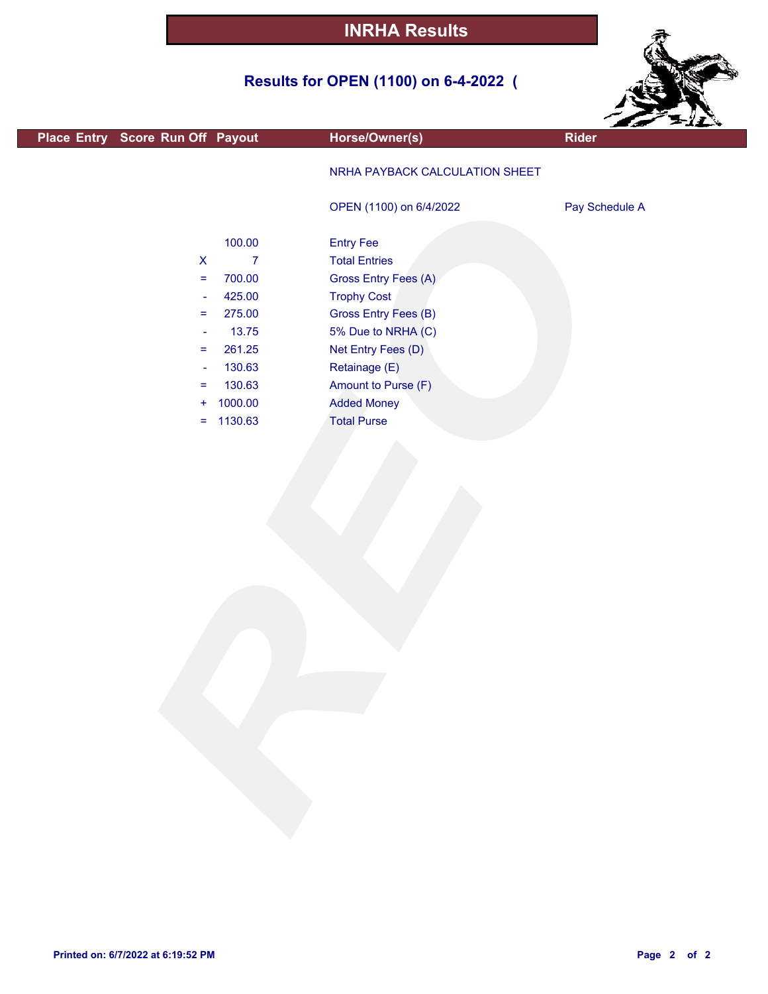## **Results for OPEN (1100) on 6-4-2022 (**



|                                  |                |                                | Earle Filly    |  |
|----------------------------------|----------------|--------------------------------|----------------|--|
| Place Entry Score Run Off Payout |                | Horse/Owner(s)                 | <b>Rider</b>   |  |
|                                  |                | NRHA PAYBACK CALCULATION SHEET |                |  |
|                                  |                | OPEN (1100) on 6/4/2022        | Pay Schedule A |  |
|                                  | 100.00         | <b>Entry Fee</b>               |                |  |
| $\pmb{\mathsf{X}}$               | $\overline{7}$ | <b>Total Entries</b>           |                |  |
| $\equiv$                         | 700.00         | Gross Entry Fees (A)           |                |  |
| $\overline{\phantom{a}}$         | 425.00         | <b>Trophy Cost</b>             |                |  |
| $\equiv$                         | 275.00         | Gross Entry Fees (B)           |                |  |
| $\overline{\phantom{a}}$         | 13.75          | 5% Due to NRHA (C)             |                |  |
| $\equiv$                         | 261.25         | Net Entry Fees (D)             |                |  |
| $\overline{\phantom{a}}$         | 130.63         | Retainage (E)                  |                |  |
| $\equiv$                         | 130.63         | Amount to Purse (F)            |                |  |
| ÷                                | 1000.00        | <b>Added Money</b>             |                |  |
| Ξ.                               | 1130.63        | <b>Total Purse</b>             |                |  |
|                                  |                |                                |                |  |
|                                  |                |                                |                |  |
|                                  |                |                                |                |  |
|                                  |                |                                |                |  |
|                                  |                |                                |                |  |
|                                  |                |                                |                |  |
|                                  |                |                                |                |  |
|                                  |                |                                |                |  |
|                                  |                |                                |                |  |
|                                  |                |                                |                |  |
|                                  |                |                                |                |  |
|                                  |                |                                |                |  |
|                                  |                |                                |                |  |
|                                  |                |                                |                |  |
|                                  |                |                                |                |  |
|                                  |                |                                |                |  |
|                                  |                |                                |                |  |
|                                  |                |                                |                |  |
|                                  |                |                                |                |  |
|                                  |                |                                |                |  |
|                                  |                |                                |                |  |
|                                  |                |                                |                |  |
|                                  |                |                                |                |  |
|                                  |                |                                |                |  |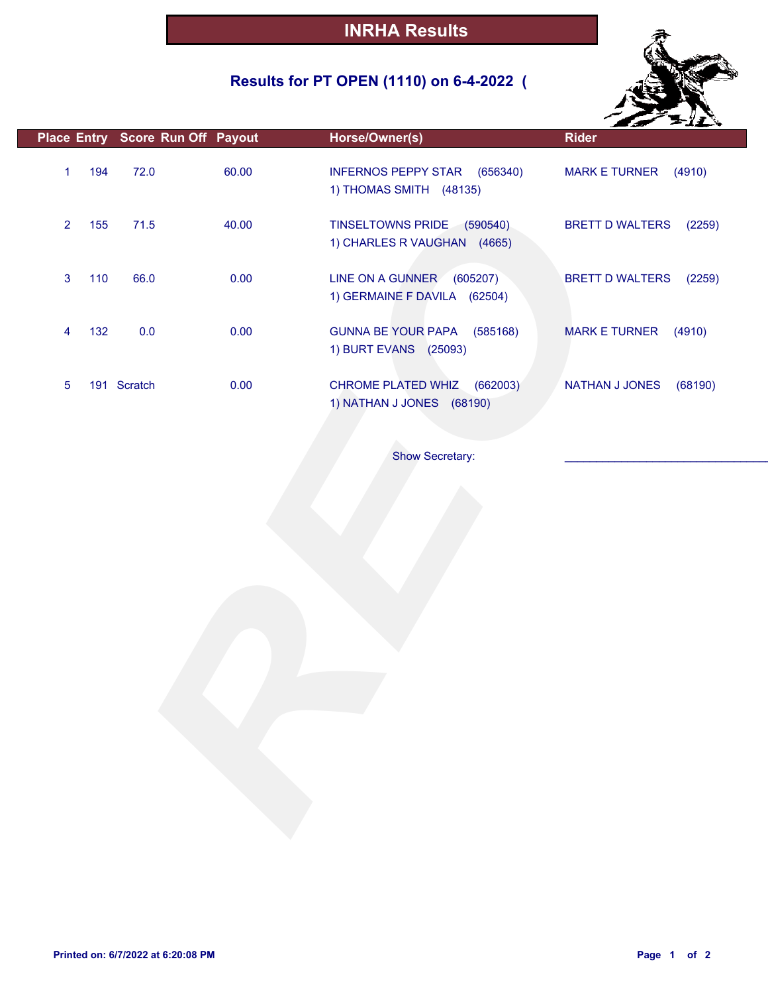## **Results for PT OPEN (1110) on 6-4-2022 (**



|                |     |             | Place Entry Score Run Off Payout | Horse/Owner(s)                                                 | <b>Rider</b>                     |
|----------------|-----|-------------|----------------------------------|----------------------------------------------------------------|----------------------------------|
| $\mathbf{1}$   | 194 | 72.0        | 60.00                            | INFERNOS PEPPY STAR (656340)<br>1) THOMAS SMITH (48135)        | MARK E TURNER (4910)             |
| $\overline{2}$ | 155 | 71.5        | 40.00                            | TINSELTOWNS PRIDE (590540)<br>1) CHARLES R VAUGHAN (4665)      | <b>BRETT D WALTERS</b><br>(2259) |
| 3              | 110 | 66.0        | 0.00                             | LINE ON A GUNNER<br>(605207)<br>1) GERMAINE F DAVILA (62504)   | <b>BRETT D WALTERS</b><br>(2259) |
| 4              | 132 | 0.0         | 0.00                             | <b>GUNNA BE YOUR PAPA</b><br>(585168)<br>1) BURT EVANS (25093) | <b>MARK E TURNER</b><br>(4910)   |
| 5              |     | 191 Scratch | 0.00                             | CHROME PLATED WHIZ<br>(662003)<br>1) NATHAN J JONES (68190)    | NATHAN J JONES<br>(68190)        |
|                |     |             |                                  | Show Secretary:                                                |                                  |
|                |     |             |                                  |                                                                |                                  |
|                |     |             |                                  |                                                                |                                  |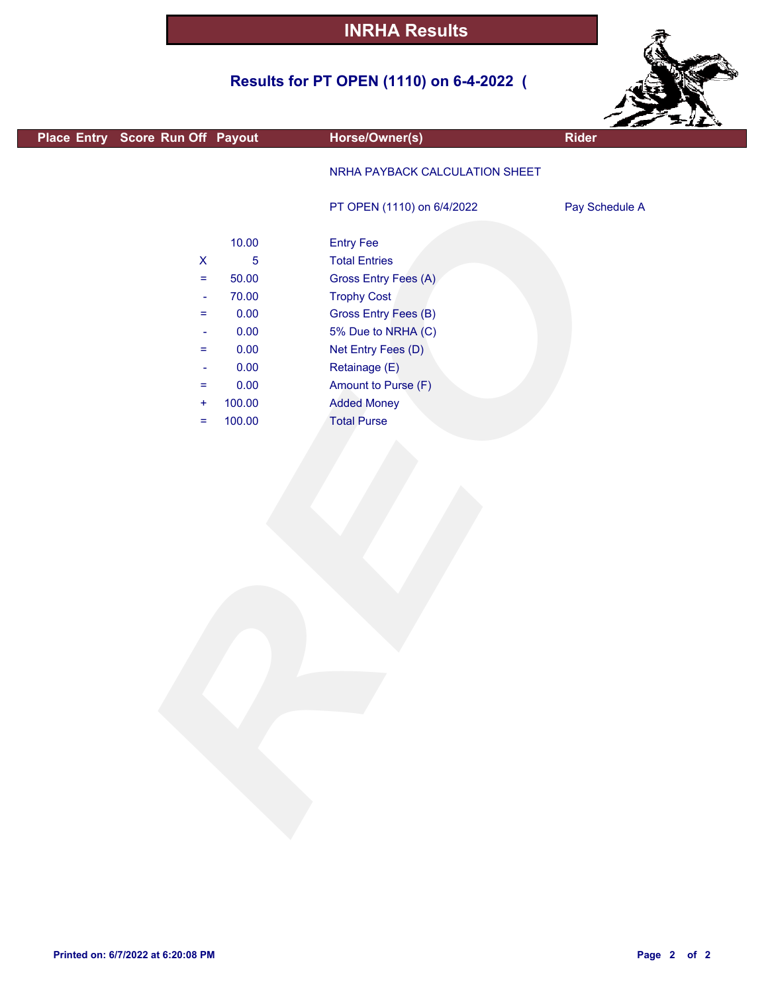## **Results for PT OPEN (1110) on 6-4-2022 (**



| Horse/Owner(s) | <b>Rider</b>                                                                                                                                                                                                                                                                                                   |
|----------------|----------------------------------------------------------------------------------------------------------------------------------------------------------------------------------------------------------------------------------------------------------------------------------------------------------------|
|                |                                                                                                                                                                                                                                                                                                                |
|                |                                                                                                                                                                                                                                                                                                                |
|                |                                                                                                                                                                                                                                                                                                                |
|                | Pay Schedule A                                                                                                                                                                                                                                                                                                 |
|                |                                                                                                                                                                                                                                                                                                                |
|                |                                                                                                                                                                                                                                                                                                                |
|                |                                                                                                                                                                                                                                                                                                                |
|                |                                                                                                                                                                                                                                                                                                                |
|                |                                                                                                                                                                                                                                                                                                                |
|                |                                                                                                                                                                                                                                                                                                                |
|                |                                                                                                                                                                                                                                                                                                                |
|                |                                                                                                                                                                                                                                                                                                                |
|                |                                                                                                                                                                                                                                                                                                                |
|                |                                                                                                                                                                                                                                                                                                                |
|                |                                                                                                                                                                                                                                                                                                                |
|                |                                                                                                                                                                                                                                                                                                                |
|                |                                                                                                                                                                                                                                                                                                                |
|                |                                                                                                                                                                                                                                                                                                                |
|                |                                                                                                                                                                                                                                                                                                                |
|                |                                                                                                                                                                                                                                                                                                                |
|                |                                                                                                                                                                                                                                                                                                                |
|                |                                                                                                                                                                                                                                                                                                                |
|                |                                                                                                                                                                                                                                                                                                                |
|                |                                                                                                                                                                                                                                                                                                                |
|                |                                                                                                                                                                                                                                                                                                                |
|                |                                                                                                                                                                                                                                                                                                                |
|                |                                                                                                                                                                                                                                                                                                                |
|                |                                                                                                                                                                                                                                                                                                                |
|                |                                                                                                                                                                                                                                                                                                                |
|                |                                                                                                                                                                                                                                                                                                                |
|                |                                                                                                                                                                                                                                                                                                                |
|                |                                                                                                                                                                                                                                                                                                                |
|                |                                                                                                                                                                                                                                                                                                                |
|                |                                                                                                                                                                                                                                                                                                                |
|                |                                                                                                                                                                                                                                                                                                                |
|                |                                                                                                                                                                                                                                                                                                                |
|                |                                                                                                                                                                                                                                                                                                                |
|                |                                                                                                                                                                                                                                                                                                                |
|                | NRHA PAYBACK CALCULATION SHEET<br>PT OPEN (1110) on 6/4/2022<br><b>Entry Fee</b><br><b>Total Entries</b><br>Gross Entry Fees (A)<br><b>Trophy Cost</b><br>Gross Entry Fees (B)<br>5% Due to NRHA (C)<br>Net Entry Fees (D)<br>Retainage (E)<br>Amount to Purse (F)<br><b>Added Money</b><br><b>Total Purse</b> |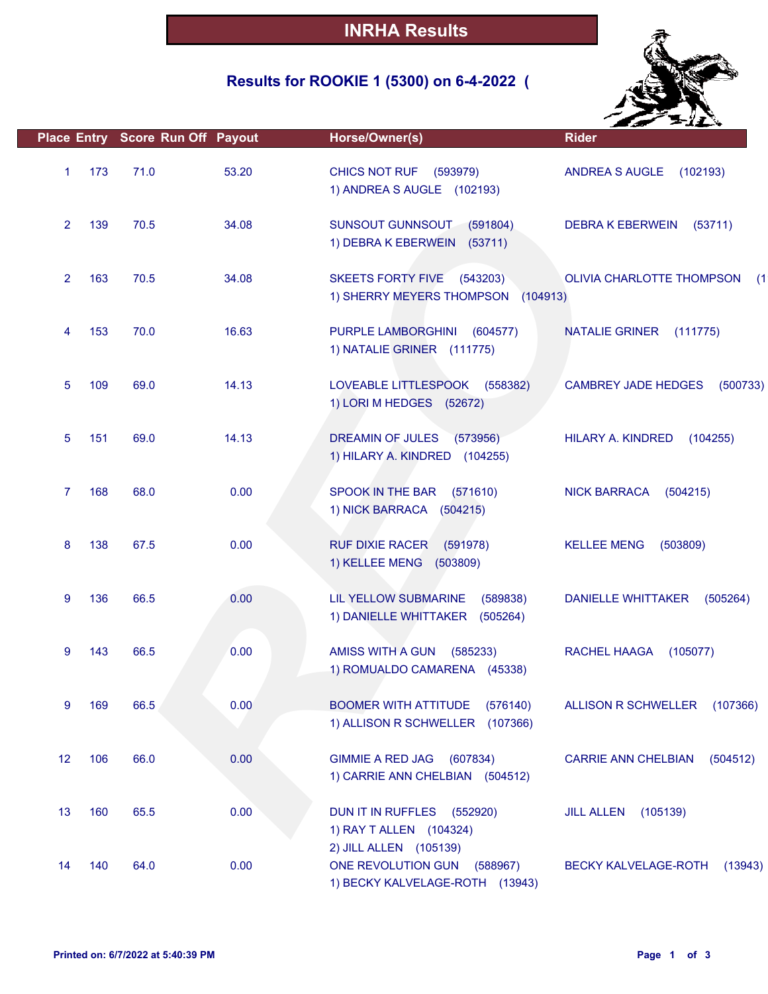## **Results for ROOKIE 1 (5300) on 6-4-2022 (**



|                |     | Place Entry Score Run Off Payout |       | Horse/Owner(s)                                                                  | <b>Rider</b>                           |
|----------------|-----|----------------------------------|-------|---------------------------------------------------------------------------------|----------------------------------------|
| $\mathbf{1}$   | 173 | 71.0                             | 53.20 | <b>CHICS NOT RUF (593979)</b><br>1) ANDREA S AUGLE (102193)                     | ANDREA S AUGLE (102193)                |
| $\overline{2}$ | 139 | 70.5                             | 34.08 | SUNSOUT GUNNSOUT (591804)<br>1) DEBRA K EBERWEIN (53711)                        | <b>DEBRA K EBERWEIN</b><br>(53711)     |
| $\overline{2}$ | 163 | 70.5                             | 34.08 | <b>SKEETS FORTY FIVE</b><br>(543203)<br>1) SHERRY MEYERS THOMPSON (104913)      | OLIVIA CHARLOTTE THOMPSON<br>(1)       |
| 4              | 153 | 70.0                             | 16.63 | PURPLE LAMBORGHINI<br>(604577)<br>1) NATALIE GRINER (111775)                    | NATALIE GRINER (111775)                |
| 5              | 109 | 69.0                             | 14.13 | LOVEABLE LITTLESPOOK<br>(558382)<br>1) LORI M HEDGES (52672)                    | <b>CAMBREY JADE HEDGES</b><br>(500733) |
| 5              | 151 | 69.0                             | 14.13 | DREAMIN OF JULES<br>(573956)<br>1) HILARY A. KINDRED (104255)                   | HILARY A. KINDRED<br>(104255)          |
| $\overline{7}$ | 168 | 68.0                             | 0.00  | SPOOK IN THE BAR<br>(571610)<br>1) NICK BARRACA (504215)                        | <b>NICK BARRACA</b><br>(504215)        |
| 8              | 138 | 67.5                             | 0.00  | <b>RUF DIXIE RACER</b><br>(591978)<br>1) KELLEE MENG (503809)                   | <b>KELLEE MENG</b><br>(503809)         |
| 9              | 136 | 66.5                             | 0.00  | LIL YELLOW SUBMARINE<br>(589838)<br>1) DANIELLE WHITTAKER (505264)              | <b>DANIELLE WHITTAKER</b><br>(505264)  |
| 9              | 143 | 66.5                             | 0.00  | <b>AMISS WITH A GUN</b><br>(585233)<br>1) ROMUALDO CAMARENA (45338)             | RACHEL HAAGA<br>(105077)               |
| 9              | 169 | 66.5                             | 0.00  | <b>BOOMER WITH ATTITUDE</b><br>(576140)<br>1) ALLISON R SCHWELLER (107366)      | ALLISON R SCHWELLER<br>(107366)        |
| 12             | 106 | 66.0                             | 0.00  | <b>GIMMIE A RED JAG</b><br>(607834)<br>1) CARRIE ANN CHELBIAN (504512)          | <b>CARRIE ANN CHELBIAN</b><br>(504512) |
| 13             | 160 | 65.5                             | 0.00  | DUN IT IN RUFFLES (552920)<br>1) RAY T ALLEN (104324)<br>2) JILL ALLEN (105139) | (105139)<br><b>JILL ALLEN</b>          |
| 14             | 140 | 64.0                             | 0.00  | ONE REVOLUTION GUN<br>(588967)<br>1) BECKY KALVELAGE-ROTH (13943)               | BECKY KALVELAGE-ROTH<br>(13943)        |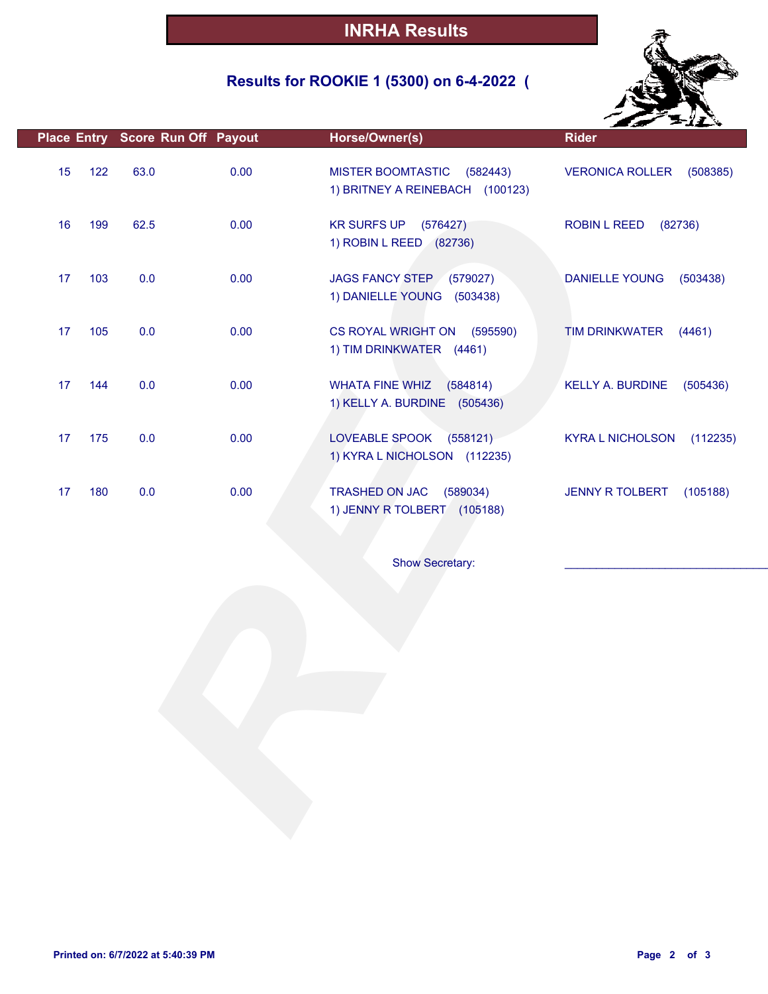## **Results for ROOKIE 1 (5300) on 6-4-2022 (**



|           | Place Entry Score Run Off Payout |      | Horse/Owner(s)                                                          | <b>Rider</b>                        |
|-----------|----------------------------------|------|-------------------------------------------------------------------------|-------------------------------------|
| 15<br>122 | 63.0                             | 0.00 | <b>MISTER BOOMTASTIC</b><br>(582443)<br>1) BRITNEY A REINEBACH (100123) | <b>VERONICA ROLLER</b><br>(508385)  |
| 16<br>199 | 62.5                             | 0.00 | <b>KR SURFS UP</b><br>(576427)<br>1) ROBIN L REED (82736)               | <b>ROBIN L REED</b><br>(82736)      |
| 103<br>17 | 0.0                              | 0.00 | JAGS FANCY STEP (579027)<br>1) DANIELLE YOUNG (503438)                  | <b>DANIELLE YOUNG</b><br>(503438)   |
| 17<br>105 | 0.0                              | 0.00 | CS ROYAL WRIGHT ON (595590)<br>1) TIM DRINKWATER (4461)                 | <b>TIM DRINKWATER</b><br>(4461)     |
| 17<br>144 | 0.0                              | 0.00 | <b>WHATA FINE WHIZ</b><br>(584814)<br>1) KELLY A. BURDINE (505436)      | <b>KELLY A. BURDINE</b><br>(505436) |
| 17<br>175 | 0.0                              | 0.00 | LOVEABLE SPOOK (558121)<br>1) KYRA L NICHOLSON (112235)                 | <b>KYRA L NICHOLSON</b><br>(112235) |
| 180<br>17 | 0.0                              | 0.00 | TRASHED ON JAC<br>(589034)<br>1) JENNY R TOLBERT (105188)               | JENNY R TOLBERT<br>(105188)         |
|           |                                  |      | <b>Show Secretary:</b>                                                  |                                     |
|           |                                  |      |                                                                         |                                     |
|           |                                  |      |                                                                         |                                     |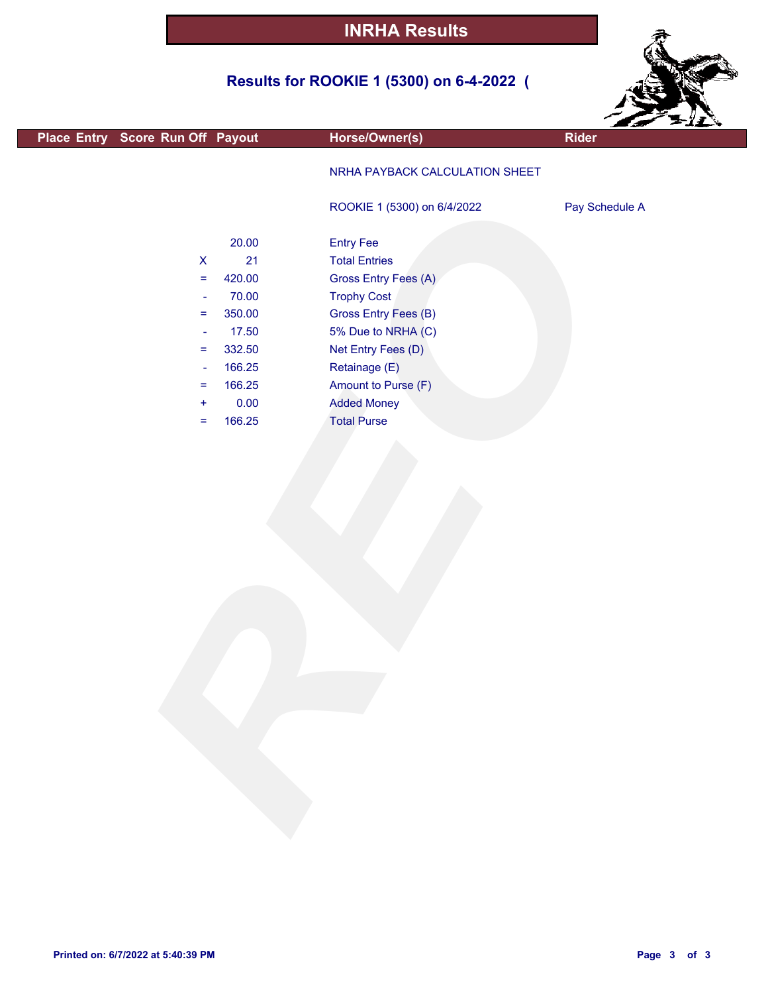## **Results for ROOKIE 1 (5300) on 6-4-2022 (**



| Place Entry Score Run Off Payout<br>Horse/Owner(s)<br>Rider<br>NRHA PAYBACK CALCULATION SHEET<br>ROOKIE 1 (5300) on 6/4/2022<br>Pay Schedule A<br>20.00<br><b>Entry Fee</b><br><b>Total Entries</b><br>$\boldsymbol{\mathsf{X}}$<br>21<br>Gross Entry Fees (A)<br>420.00<br>$\equiv$<br><b>Trophy Cost</b><br>70.00<br>$\Box$<br>Gross Entry Fees (B)<br>350.00<br>$\equiv$<br>17.50<br>5% Due to NRHA (C)<br>$\blacksquare$<br>332.50<br>Net Entry Fees (D)<br>$\equiv$<br>166.25<br>Retainage (E)<br>$\overline{\phantom{a}}$<br>166.25<br>Amount to Purse (F)<br>$\equiv$<br>0.00<br><b>Added Money</b><br>$\ddot{}$ |  |
|-------------------------------------------------------------------------------------------------------------------------------------------------------------------------------------------------------------------------------------------------------------------------------------------------------------------------------------------------------------------------------------------------------------------------------------------------------------------------------------------------------------------------------------------------------------------------------------------------------------------------|--|
|                                                                                                                                                                                                                                                                                                                                                                                                                                                                                                                                                                                                                         |  |
|                                                                                                                                                                                                                                                                                                                                                                                                                                                                                                                                                                                                                         |  |
|                                                                                                                                                                                                                                                                                                                                                                                                                                                                                                                                                                                                                         |  |
|                                                                                                                                                                                                                                                                                                                                                                                                                                                                                                                                                                                                                         |  |
|                                                                                                                                                                                                                                                                                                                                                                                                                                                                                                                                                                                                                         |  |
|                                                                                                                                                                                                                                                                                                                                                                                                                                                                                                                                                                                                                         |  |
|                                                                                                                                                                                                                                                                                                                                                                                                                                                                                                                                                                                                                         |  |
|                                                                                                                                                                                                                                                                                                                                                                                                                                                                                                                                                                                                                         |  |
|                                                                                                                                                                                                                                                                                                                                                                                                                                                                                                                                                                                                                         |  |
|                                                                                                                                                                                                                                                                                                                                                                                                                                                                                                                                                                                                                         |  |
|                                                                                                                                                                                                                                                                                                                                                                                                                                                                                                                                                                                                                         |  |
|                                                                                                                                                                                                                                                                                                                                                                                                                                                                                                                                                                                                                         |  |
|                                                                                                                                                                                                                                                                                                                                                                                                                                                                                                                                                                                                                         |  |
| 166.25<br><b>Total Purse</b><br>$\equiv$                                                                                                                                                                                                                                                                                                                                                                                                                                                                                                                                                                                |  |
|                                                                                                                                                                                                                                                                                                                                                                                                                                                                                                                                                                                                                         |  |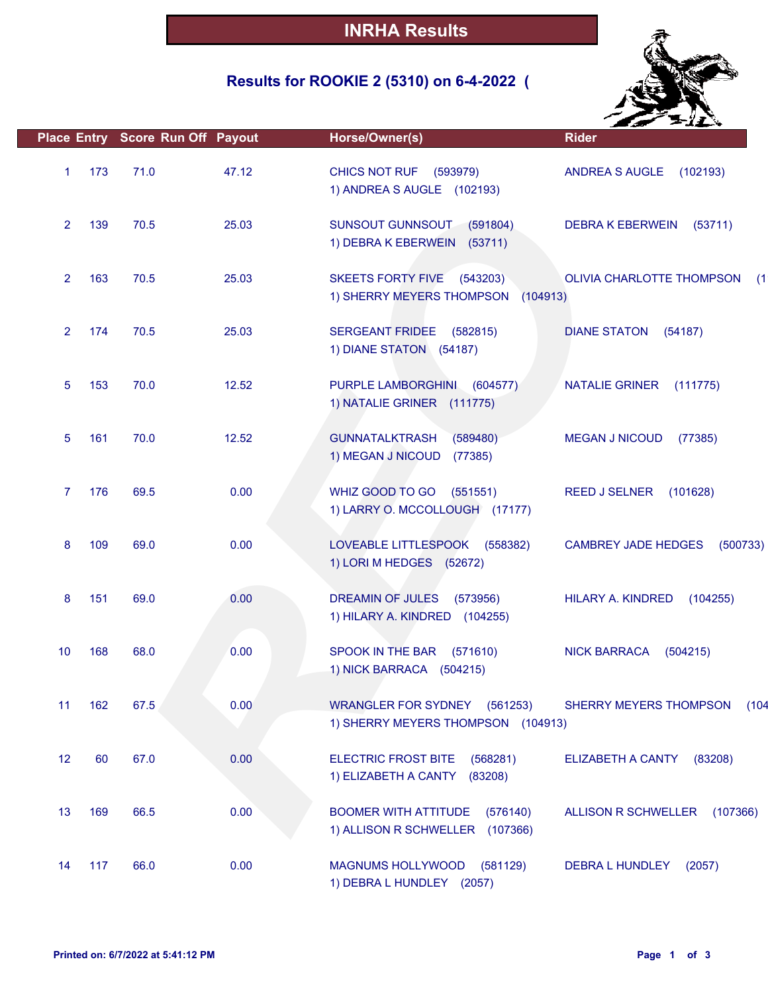## **Results for ROOKIE 2 (5310) on 6-4-2022 (**



|                |     | Place Entry Score Run Off Payout |       | Horse/Owner(s)                                                                | <b>Rider</b>                            |
|----------------|-----|----------------------------------|-------|-------------------------------------------------------------------------------|-----------------------------------------|
| $\mathbf{1}$   | 173 | 71.0                             | 47.12 | CHICS NOT RUF (593979)<br>1) ANDREA S AUGLE (102193)                          | ANDREA S AUGLE<br>(102193)              |
| $\overline{2}$ | 139 | 70.5                             | 25.03 | SUNSOUT GUNNSOUT (591804)<br>1) DEBRA K EBERWEIN (53711)                      | <b>DEBRA K EBERWEIN</b><br>(53711)      |
| $\overline{2}$ | 163 | 70.5                             | 25.03 | <b>SKEETS FORTY FIVE</b><br>(543203)<br>1) SHERRY MEYERS THOMPSON<br>(104913) | <b>OLIVIA CHARLOTTE THOMPSON</b><br>(1) |
| $\overline{2}$ | 174 | 70.5                             | 25.03 | SERGEANT FRIDEE (582815)<br>1) DIANE STATON (54187)                           | <b>DIANE STATON</b><br>(54187)          |
| 5              | 153 | 70.0                             | 12.52 | PURPLE LAMBORGHINI<br>(604577)<br>1) NATALIE GRINER (111775)                  | <b>NATALIE GRINER</b><br>(111775)       |
| 5              | 161 | 70.0                             | 12.52 | <b>GUNNATALKTRASH</b><br>(589480)<br>1) MEGAN J NICOUD<br>(77385)             | <b>MEGAN J NICOUD</b><br>(77385)        |
| 7              | 176 | 69.5                             | 0.00  | WHIZ GOOD TO GO<br>(551551)<br>1) LARRY O. MCCOLLOUGH (17177)                 | <b>REED J SELNER</b><br>(101628)        |
| 8              | 109 | 69.0                             | 0.00  | LOVEABLE LITTLESPOOK<br>(558382)<br>1) LORI M HEDGES (52672)                  | <b>CAMBREY JADE HEDGES</b><br>(500733)  |
| 8              | 151 | 69.0                             | 0.00  | DREAMIN OF JULES<br>(573956)<br>1) HILARY A. KINDRED (104255)                 | HILARY A. KINDRED<br>(104255)           |
| 10             | 168 | 68.0                             | 0.00  | SPOOK IN THE BAR<br>(571610)<br>1) NICK BARRACA (504215)                      | <b>NICK BARRACA</b><br>(504215)         |
| 11             | 162 | 67.5                             | 0.00  | WRANGLER FOR SYDNEY (561253)<br>1) SHERRY MEYERS THOMPSON (104913)            | SHERRY MEYERS THOMPSON<br>(104)         |
| 12             | 60  | 67.0                             | 0.00  | <b>ELECTRIC FROST BITE</b><br>(568281)<br>1) ELIZABETH A CANTY<br>(83208)     | <b>ELIZABETH A CANTY</b><br>(83208)     |
| 13             | 169 | 66.5                             | 0.00  | <b>BOOMER WITH ATTITUDE</b><br>(576140)<br>1) ALLISON R SCHWELLER (107366)    | ALLISON R SCHWELLER<br>(107366)         |
| 14             | 117 | 66.0                             | 0.00  | MAGNUMS HOLLYWOOD (581129)<br>1) DEBRA L HUNDLEY (2057)                       | <b>DEBRA L HUNDLEY</b><br>(2057)        |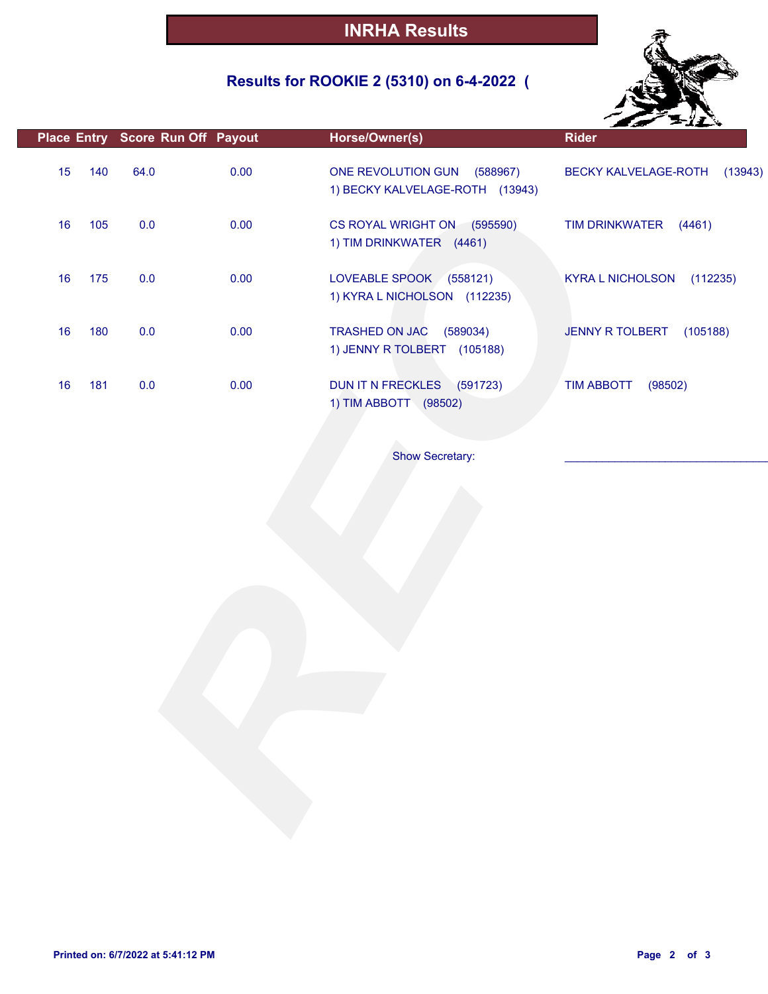## **Results for ROOKIE 2 (5310) on 6-4-2022 (**



|    |     | Place Entry Score Run Off Payout |      | Horse/Owner(s)                                                   | <b>Rider</b>                        |
|----|-----|----------------------------------|------|------------------------------------------------------------------|-------------------------------------|
| 15 | 140 | 64.0                             | 0.00 | ONE REVOLUTION GUN (588967)<br>1) BECKY KALVELAGE-ROTH (13943)   | BECKY KALVELAGE-ROTH<br>(13943)     |
| 16 | 105 | $0.0\,$                          | 0.00 | CS ROYAL WRIGHT ON (595590)<br>1) TIM DRINKWATER (4461)          | <b>TIM DRINKWATER</b><br>(4461)     |
| 16 | 175 | 0.0                              | 0.00 | LOVEABLE SPOOK (558121)<br>1) KYRA L NICHOLSON (112235)          | <b>KYRA L NICHOLSON</b><br>(112235) |
| 16 | 180 | $0.0\,$                          | 0.00 | <b>TRASHED ON JAC</b><br>(589034)<br>1) JENNY R TOLBERT (105188) | <b>JENNY R TOLBERT</b><br>(105188)  |
| 16 | 181 | 0.0                              | 0.00 | DUN IT N FRECKLES (591723)<br>1) TIM ABBOTT (98502)              | <b>TIM ABBOTT</b><br>(98502)        |
|    |     |                                  |      | <b>Show Secretary:</b>                                           |                                     |
|    |     |                                  |      |                                                                  |                                     |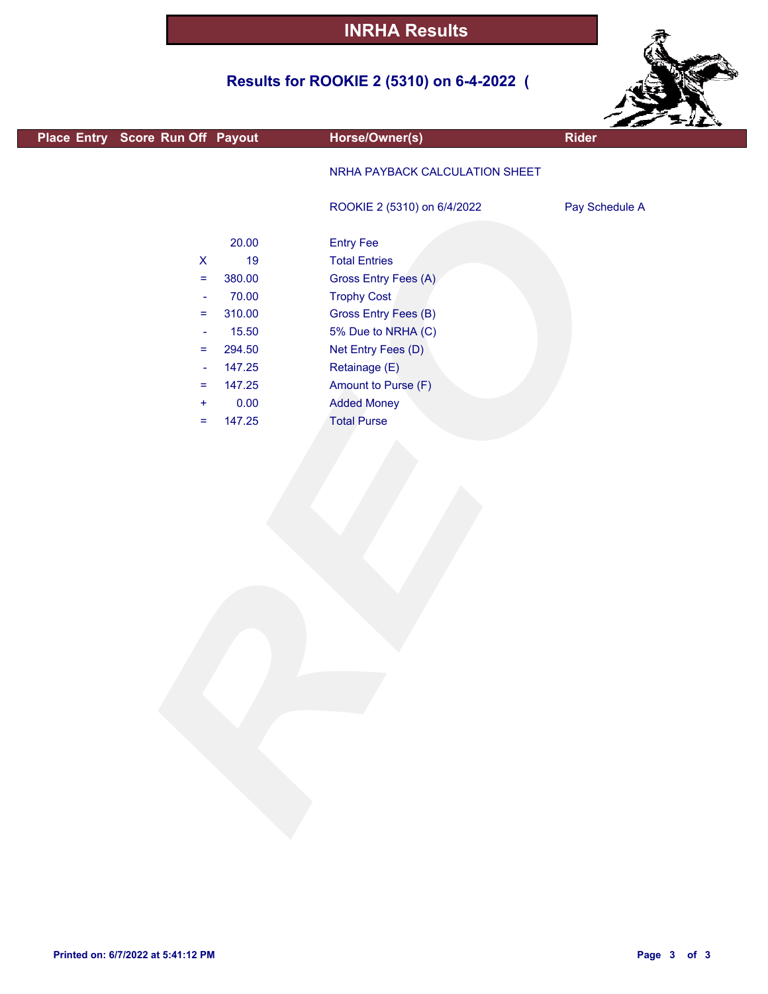## **Results for ROOKIE 2 (5310) on 6-4-2022 (**



|                                  |                    |        |                                | <b>Bar File</b> s |
|----------------------------------|--------------------|--------|--------------------------------|-------------------|
| Place Entry Score Run Off Payout |                    |        | Horse/Owner(s)                 | <b>Rider</b>      |
|                                  |                    |        | NRHA PAYBACK CALCULATION SHEET |                   |
|                                  |                    |        | ROOKIE 2 (5310) on 6/4/2022    | Pay Schedule A    |
|                                  |                    | 20.00  | <b>Entry Fee</b>               |                   |
|                                  | $\pmb{\mathsf{X}}$ | 19     | <b>Total Entries</b>           |                   |
|                                  | $\equiv$           | 380.00 | Gross Entry Fees (A)           |                   |
|                                  | $\blacksquare$     | 70.00  | <b>Trophy Cost</b>             |                   |
|                                  | Ξ                  | 310.00 | Gross Entry Fees (B)           |                   |
|                                  | $\blacksquare$     | 15.50  | 5% Due to NRHA (C)             |                   |
|                                  | $=$                | 294.50 | Net Entry Fees (D)             |                   |
|                                  | ÷                  | 147.25 | Retainage (E)                  |                   |
|                                  | Ξ                  | 147.25 | Amount to Purse (F)            |                   |
|                                  | $\ddot{}$          | 0.00   | <b>Added Money</b>             |                   |
|                                  | $=$                | 147.25 | <b>Total Purse</b>             |                   |
|                                  |                    |        |                                |                   |
|                                  |                    |        |                                |                   |
|                                  |                    |        |                                |                   |
|                                  |                    |        |                                |                   |
|                                  |                    |        |                                |                   |
|                                  |                    |        |                                |                   |
|                                  |                    |        |                                |                   |
|                                  |                    |        |                                |                   |
|                                  |                    |        |                                |                   |
|                                  |                    |        |                                |                   |
|                                  |                    |        |                                |                   |
|                                  |                    |        |                                |                   |
|                                  |                    |        |                                |                   |
|                                  |                    |        |                                |                   |
|                                  |                    |        |                                |                   |
|                                  |                    |        |                                |                   |
|                                  |                    |        |                                |                   |
|                                  |                    |        |                                |                   |
|                                  |                    |        |                                |                   |
|                                  |                    |        |                                |                   |
|                                  |                    |        |                                |                   |
|                                  |                    |        |                                |                   |
|                                  |                    |        |                                |                   |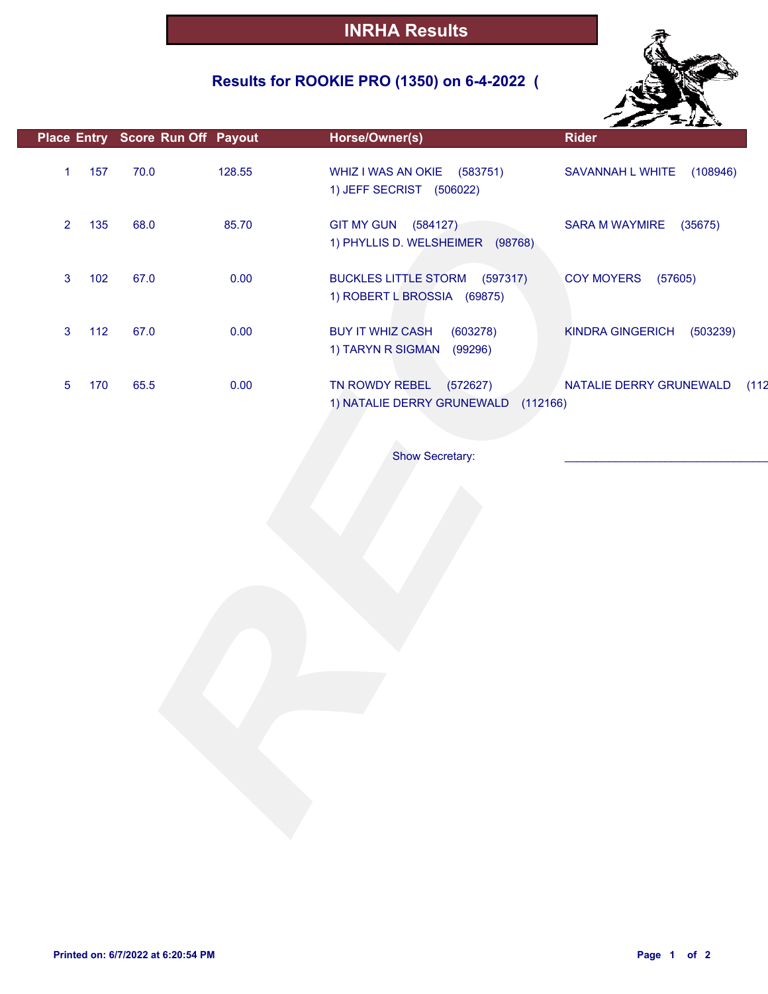## **Results for ROOKIE PRO (1350) on 6-4-2022 (**



|                       | Place Entry Score Run Off Payout | Horse/Owner(s)                                                         | <b>Rider</b>                        |
|-----------------------|----------------------------------|------------------------------------------------------------------------|-------------------------------------|
| 157<br>$\mathbf{1}$   | 70.0<br>128.55                   | WHIZ I WAS AN OKIE (583751)<br>1) JEFF SECRIST (506022)                | SAVANNAH L WHITE<br>(108946)        |
| $\overline{2}$<br>135 | 85.70<br>68.0                    | GIT MY GUN (584127)<br>1) PHYLLIS D. WELSHEIMER (98768)                | SARA M WAYMIRE<br>(35675)           |
| $\mathbf{3}$<br>102   | 0.00<br>67.0                     | <b>BUCKLES LITTLE STORM</b><br>(597317)<br>1) ROBERT L BROSSIA (69875) | COY MOYERS (57605)                  |
| 112<br>$\mathbf{3}$   | 67.0<br>0.00                     | <b>BUY IT WHIZ CASH</b><br>(603278)<br>1) TARYN R SIGMAN<br>(99296)    | (503239)<br><b>KINDRA GINGERICH</b> |
| 170<br>5              | 0.00<br>65.5                     | TN ROWDY REBEL<br>(572627)<br>1) NATALIE DERRY GRUNEWALD<br>(112166)   | NATALIE DERRY GRUNEWALD<br>(112)    |
|                       |                                  | <b>Show Secretary:</b>                                                 |                                     |
|                       |                                  |                                                                        |                                     |
|                       |                                  |                                                                        |                                     |
|                       |                                  |                                                                        |                                     |
|                       |                                  |                                                                        |                                     |
|                       |                                  |                                                                        |                                     |
|                       |                                  |                                                                        |                                     |
|                       |                                  |                                                                        |                                     |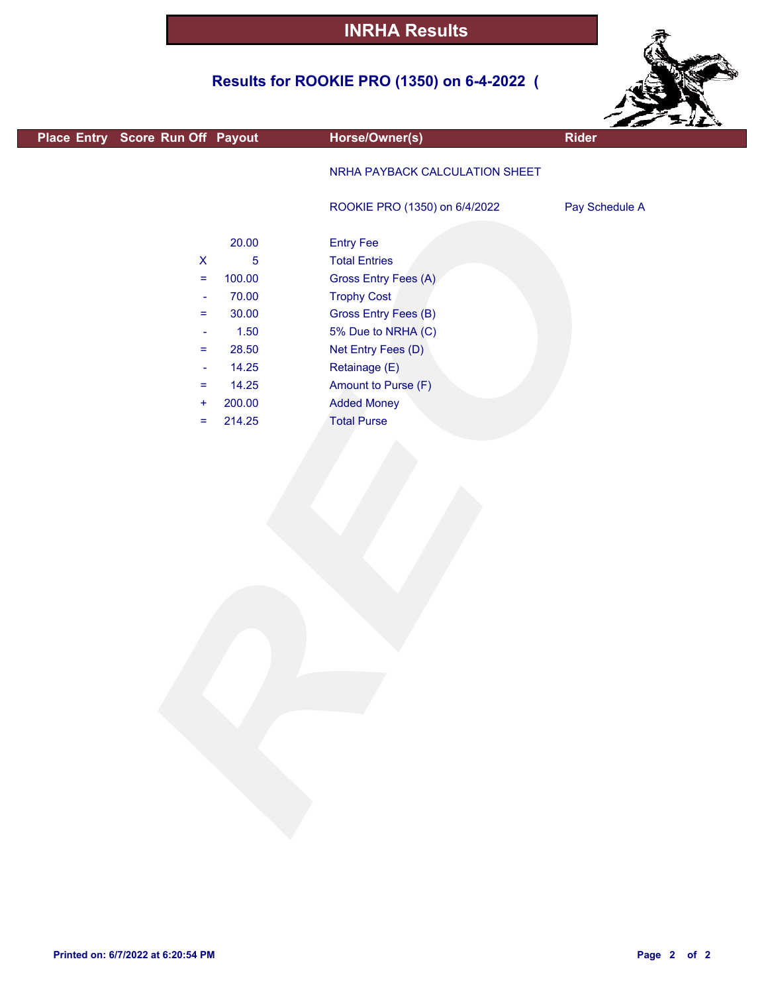## **Results for ROOKIE PRO (1350) on 6-4-2022 (**



| Place Entry Score Run Off Payout                                                                                                                                                                                | Horse/Owner(s)                                                                                                                                                                                                                                        | Rider          |
|-----------------------------------------------------------------------------------------------------------------------------------------------------------------------------------------------------------------|-------------------------------------------------------------------------------------------------------------------------------------------------------------------------------------------------------------------------------------------------------|----------------|
|                                                                                                                                                                                                                 | NRHA PAYBACK CALCULATION SHEET                                                                                                                                                                                                                        |                |
|                                                                                                                                                                                                                 | ROOKIE PRO (1350) on 6/4/2022                                                                                                                                                                                                                         | Pay Schedule A |
| 20.00<br>$\pmb{\mathsf{X}}$<br>$\sqrt{5}$<br>100.00<br>$\equiv$<br>70.00<br>÷<br>30.00<br>Ξ<br>$1.50$<br>÷<br>28.50<br>$=$<br>14.25<br>$\overline{\phantom{a}}$<br>14.25<br>$=$<br>200.00<br>÷<br>214.25<br>$=$ | <b>Entry Fee</b><br><b>Total Entries</b><br>Gross Entry Fees (A)<br><b>Trophy Cost</b><br><b>Gross Entry Fees (B)</b><br>5% Due to NRHA (C)<br>Net Entry Fees (D)<br>Retainage (E)<br>Amount to Purse (F)<br><b>Added Money</b><br><b>Total Purse</b> |                |
|                                                                                                                                                                                                                 |                                                                                                                                                                                                                                                       |                |
|                                                                                                                                                                                                                 |                                                                                                                                                                                                                                                       |                |

 $\overline{\phantom{a}}$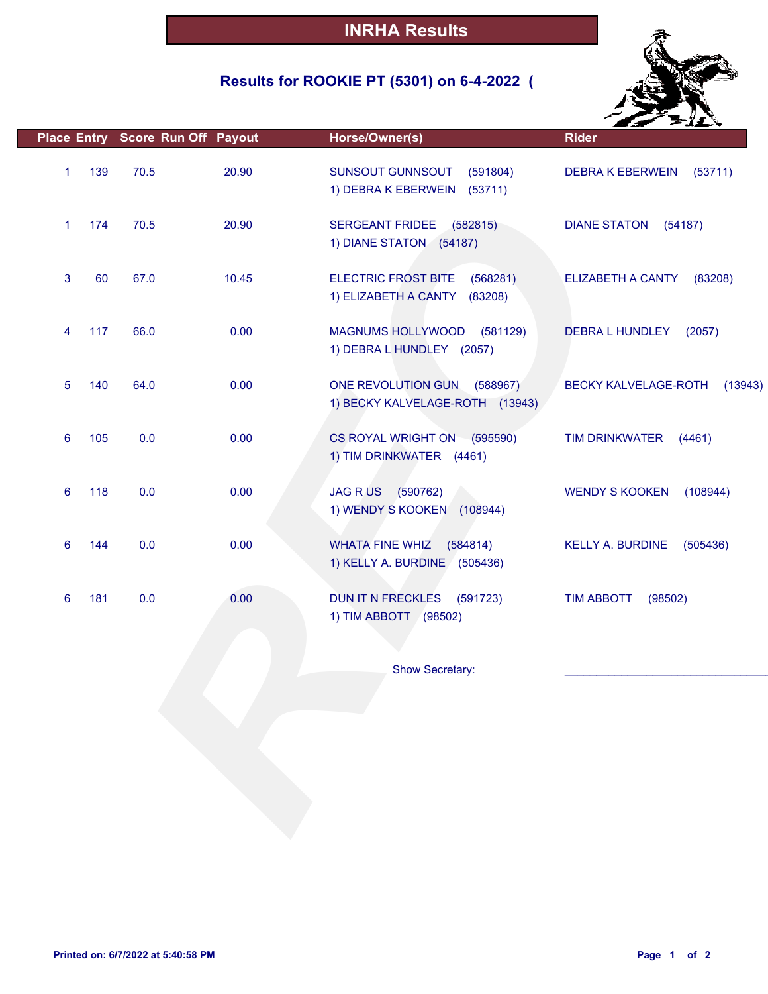## **Results for ROOKIE PT (5301) on 6-4-2022 (**



|   |     | Place Entry Score Run Off Payout |       | Horse/Owner(s)                                                                   | <b>Rider</b>                        |
|---|-----|----------------------------------|-------|----------------------------------------------------------------------------------|-------------------------------------|
| 1 | 139 | 70.5                             | 20.90 | SUNSOUT GUNNSOUT<br>(591804)<br>1) DEBRA K EBERWEIN (53711)                      | <b>DEBRA K EBERWEIN</b><br>(53711)  |
| 1 | 174 | 70.5                             | 20.90 | SERGEANT FRIDEE (582815)<br>1) DIANE STATON (54187)                              | <b>DIANE STATON</b><br>(54187)      |
| 3 | 60  | 67.0                             | 10.45 | <b>ELECTRIC FROST BITE</b><br>(568281)<br>1) ELIZABETH A CANTY<br>(83208)        | <b>ELIZABETH A CANTY</b><br>(83208) |
| 4 | 117 | 66.0                             | 0.00  | MAGNUMS HOLLYWOOD (581129)<br>1) DEBRA L HUNDLEY (2057)                          | <b>DEBRA L HUNDLEY</b><br>(2057)    |
| 5 | 140 | 64.0                             | 0.00  | ONE REVOLUTION GUN<br>(588967)<br>1) BECKY KALVELAGE-ROTH (13943)                | BECKY KALVELAGE-ROTH<br>(13943)     |
| 6 | 105 | 0.0                              | 0.00  | CS ROYAL WRIGHT ON (595590)<br>1) TIM DRINKWATER (4461)                          | <b>TIM DRINKWATER</b><br>(4461)     |
| 6 | 118 | 0.0                              | 0.00  | JAG R US (590762)<br>1) WENDY S KOOKEN (108944)                                  | <b>WENDY S KOOKEN</b><br>(108944)   |
| 6 | 144 | 0.0                              | 0.00  | <b>WHATA FINE WHIZ</b><br>(584814)<br>1) KELLY A. BURDINE (505436)               | <b>KELLY A. BURDINE</b><br>(505436) |
| 6 | 181 | 0.0                              | 0.00  | <b>DUN IT N FRECKLES</b><br>(591723)<br>1) TIM ABBOTT (98502)<br>Show Secretary: | <b>TIM ABBOTT</b><br>(98502)        |
|   |     |                                  |       |                                                                                  |                                     |
|   |     |                                  |       |                                                                                  |                                     |
|   |     |                                  |       |                                                                                  |                                     |
|   |     |                                  |       |                                                                                  |                                     |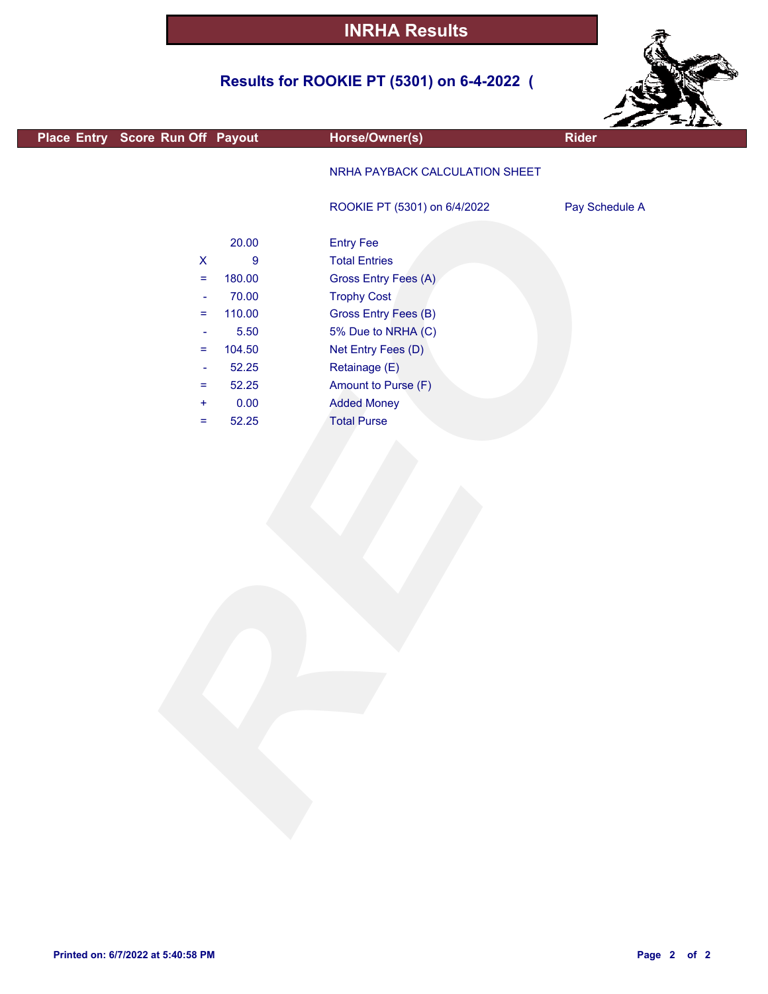# **Results for ROOKIE PT (5301) on 6-4-2022 (**



|                                  |                  |                                | <b>AND SERVICE</b> | ---- |
|----------------------------------|------------------|--------------------------------|--------------------|------|
| Place Entry Score Run Off Payout |                  | Horse/Owner(s)                 | <b>Rider</b>       |      |
|                                  |                  | NRHA PAYBACK CALCULATION SHEET |                    |      |
|                                  |                  | ROOKIE PT (5301) on 6/4/2022   | Pay Schedule A     |      |
|                                  |                  |                                |                    |      |
|                                  | 20.00            | <b>Entry Fee</b>               |                    |      |
| $\boldsymbol{\mathsf{X}}$        | $\boldsymbol{9}$ | <b>Total Entries</b>           |                    |      |
| $=$                              | 180.00           | Gross Entry Fees (A)           |                    |      |
| $\Box$                           | 70.00            | <b>Trophy Cost</b>             |                    |      |
| $\equiv$                         | 110.00           | <b>Gross Entry Fees (B)</b>    |                    |      |
| $\overline{\phantom{a}}$         | 5.50             | 5% Due to NRHA (C)             |                    |      |
| $=$                              | 104.50           | Net Entry Fees (D)             |                    |      |
| ÷                                | 52.25            | Retainage (E)                  |                    |      |
| $=$                              | 52.25            | Amount to Purse (F)            |                    |      |
| ÷                                | 0.00             | <b>Added Money</b>             |                    |      |
| $=$                              | 52.25            | <b>Total Purse</b>             |                    |      |
|                                  |                  |                                |                    |      |
|                                  |                  |                                |                    |      |
|                                  |                  |                                |                    |      |
|                                  |                  |                                |                    |      |
|                                  |                  |                                |                    |      |
|                                  |                  |                                |                    |      |
|                                  |                  |                                |                    |      |
|                                  |                  |                                |                    |      |
|                                  |                  |                                |                    |      |
|                                  |                  |                                |                    |      |
|                                  |                  |                                |                    |      |
|                                  |                  |                                |                    |      |
|                                  |                  |                                |                    |      |
|                                  |                  |                                |                    |      |
|                                  |                  |                                |                    |      |
|                                  |                  |                                |                    |      |
|                                  |                  |                                |                    |      |
|                                  |                  |                                |                    |      |
|                                  |                  |                                |                    |      |
|                                  |                  |                                |                    |      |
|                                  |                  |                                |                    |      |
|                                  |                  |                                |                    |      |
|                                  |                  |                                |                    |      |
|                                  |                  |                                |                    |      |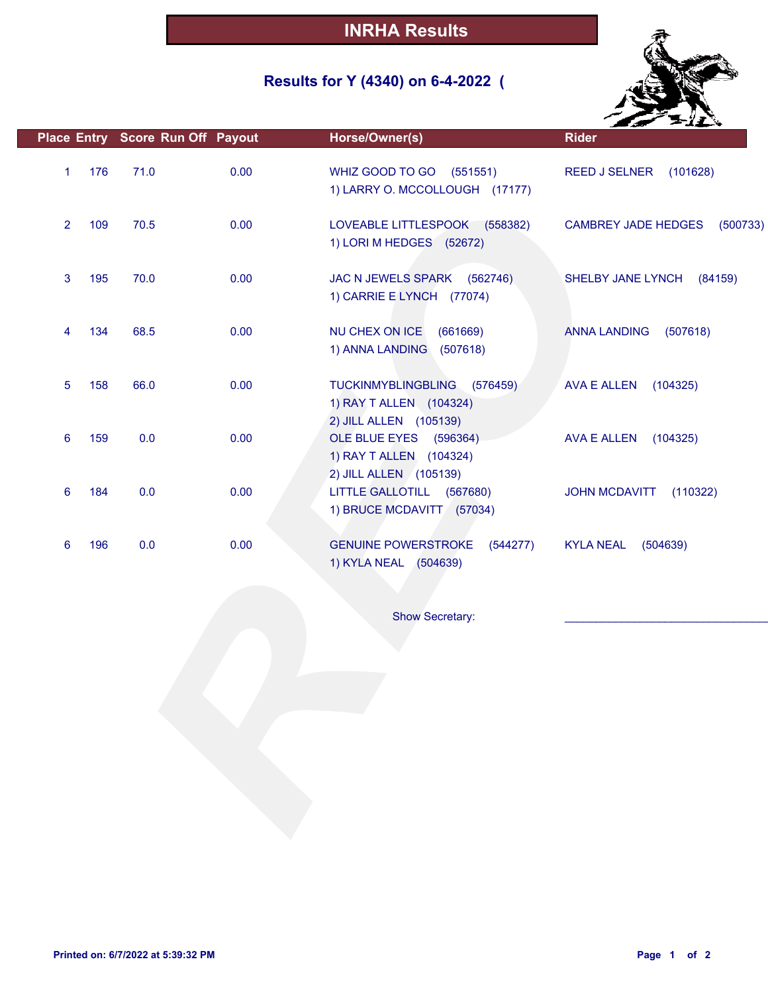## **Results for Y (4340) on 6-4-2022 (**



|                |     | Place Entry Score Run Off Payout |      | Horse/Owner(s)                                                                             | <b>Rider</b>                           |
|----------------|-----|----------------------------------|------|--------------------------------------------------------------------------------------------|----------------------------------------|
| $\mathbf{1}$   | 176 | 71.0                             | 0.00 | WHIZ GOOD TO GO (551551)<br>1) LARRY O. MCCOLLOUGH (17177)                                 | REED J SELNER (101628)                 |
| $\overline{2}$ | 109 | 70.5                             | 0.00 | LOVEABLE LITTLESPOOK (558382)<br>1) LORI M HEDGES (52672)                                  | <b>CAMBREY JADE HEDGES</b><br>(500733) |
| 3              | 195 | 70.0                             | 0.00 | JAC N JEWELS SPARK (562746)<br>1) CARRIE E LYNCH (77074)                                   | SHELBY JANE LYNCH<br>(84159)           |
| 4              | 134 | 68.5                             | 0.00 | NU CHEX ON ICE<br>(661669)<br>1) ANNA LANDING<br>(507618)                                  | <b>ANNA LANDING</b><br>(507618)        |
| 5              | 158 | 66.0                             | 0.00 | <b>TUCKINMYBLINGBLING</b><br>(576459)<br>1) RAY T ALLEN (104324)<br>2) JILL ALLEN (105139) | <b>AVA E ALLEN</b><br>(104325)         |
| 6              | 159 | 0.0                              | 0.00 | OLE BLUE EYES (596364)<br>1) RAY T ALLEN (104324)<br>2) JILL ALLEN (105139)                | AVA E ALLEN<br>(104325)                |
| 6              | 184 | 0.0                              | 0.00 | LITTLE GALLOTILL (567680)<br>1) BRUCE MCDAVITT (57034)                                     | <b>JOHN MCDAVITT</b><br>(110322)       |
| 6              | 196 | 0.0                              | 0.00 | <b>GENUINE POWERSTROKE</b><br>(544277)<br>1) KYLA NEAL (504639)                            | <b>KYLA NEAL</b><br>(504639)           |
|                |     |                                  |      |                                                                                            |                                        |
|                |     |                                  |      | <b>Show Secretary:</b>                                                                     |                                        |
|                |     |                                  |      |                                                                                            |                                        |
|                |     |                                  |      |                                                                                            |                                        |
|                |     |                                  |      |                                                                                            |                                        |
|                |     |                                  |      |                                                                                            |                                        |
|                |     |                                  |      |                                                                                            |                                        |
|                |     |                                  |      |                                                                                            |                                        |
|                |     |                                  |      |                                                                                            |                                        |
|                |     |                                  |      |                                                                                            |                                        |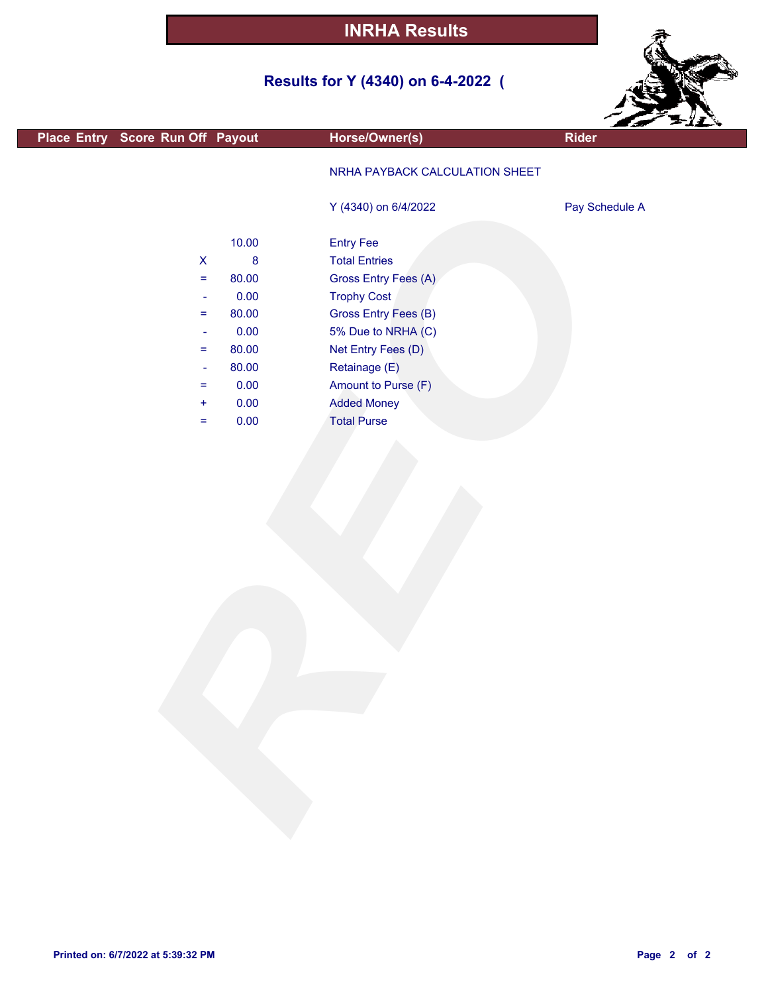# **Results for Y (4340) on 6-4-2022 (**



|                                  |          |                                | Est Pili       |
|----------------------------------|----------|--------------------------------|----------------|
| Place Entry Score Run Off Payout |          | Horse/Owner(s)                 | <b>Rider</b>   |
|                                  |          | NRHA PAYBACK CALCULATION SHEET |                |
|                                  |          | Y (4340) on 6/4/2022           | Pay Schedule A |
|                                  | 10.00    | <b>Entry Fee</b>               |                |
| $\mathsf X$                      | $\bf{8}$ | <b>Total Entries</b>           |                |
| $\equiv$                         | 80.00    | Gross Entry Fees (A)           |                |
| $\blacksquare$                   | 0.00     | <b>Trophy Cost</b>             |                |
| $=$                              | 80.00    | Gross Entry Fees (B)           |                |
| $\blacksquare$                   | 0.00     | 5% Due to NRHA (C)             |                |
| $=$                              | 80.00    | Net Entry Fees (D)             |                |
| $\blacksquare$                   | 80.00    | Retainage (E)                  |                |
| $=$                              | 0.00     | Amount to Purse (F)            |                |
| $\ddot{}$                        | 0.00     | <b>Added Money</b>             |                |
| $\equiv$                         | 0.00     | <b>Total Purse</b>             |                |
|                                  |          |                                |                |
|                                  |          |                                |                |
|                                  |          |                                |                |
|                                  |          |                                |                |
|                                  |          |                                |                |
|                                  |          |                                |                |
|                                  |          |                                |                |
|                                  |          |                                |                |
|                                  |          |                                |                |
|                                  |          |                                |                |
|                                  |          |                                |                |
|                                  |          |                                |                |
|                                  |          |                                |                |
|                                  |          |                                |                |
|                                  |          |                                |                |
|                                  |          |                                |                |
|                                  |          |                                |                |
|                                  |          |                                |                |
|                                  |          |                                |                |
|                                  |          |                                |                |
|                                  |          |                                |                |
|                                  |          |                                |                |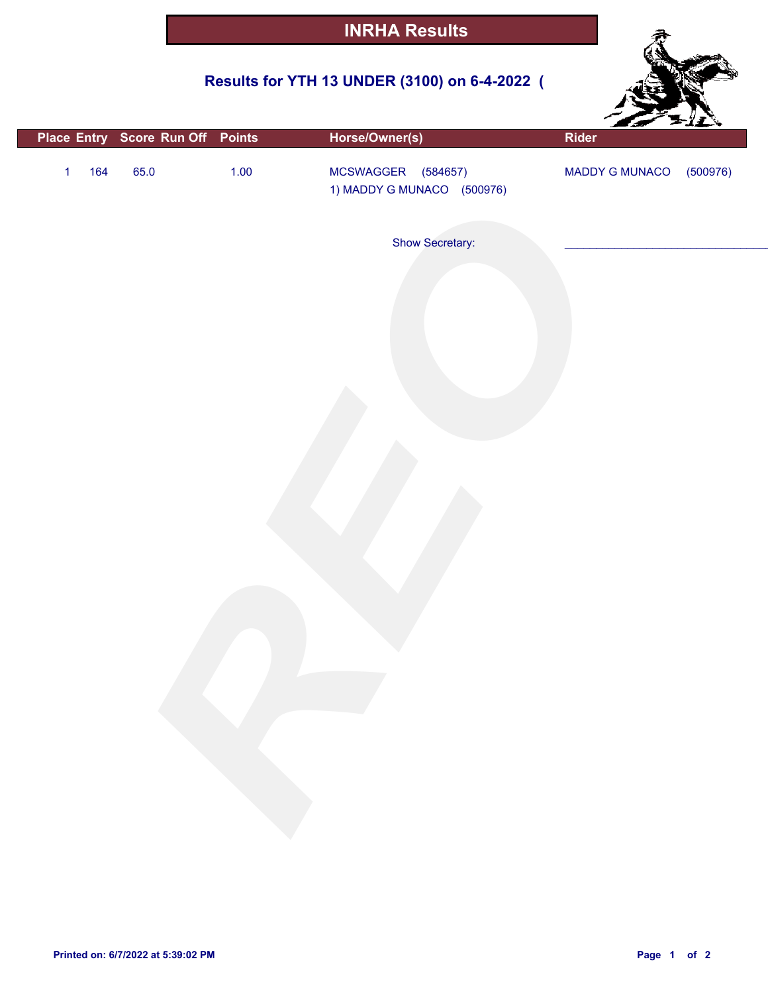## **Results for YTH 13 UNDER (3100) on 6-4-2022 (**



|                     | Place Entry Score Run Off Points |        | Horse/Owner(s)                                   | Rider          |          |
|---------------------|----------------------------------|--------|--------------------------------------------------|----------------|----------|
| 164<br>$\mathbf{1}$ | 65.0                             | $1.00$ | MCSWAGGER (584657)<br>1) MADDY G MUNACO (500976) | MADDY G MUNACO | (500976) |
|                     |                                  |        | Show Secretary:                                  |                |          |
|                     |                                  |        |                                                  |                |          |
|                     |                                  |        |                                                  |                |          |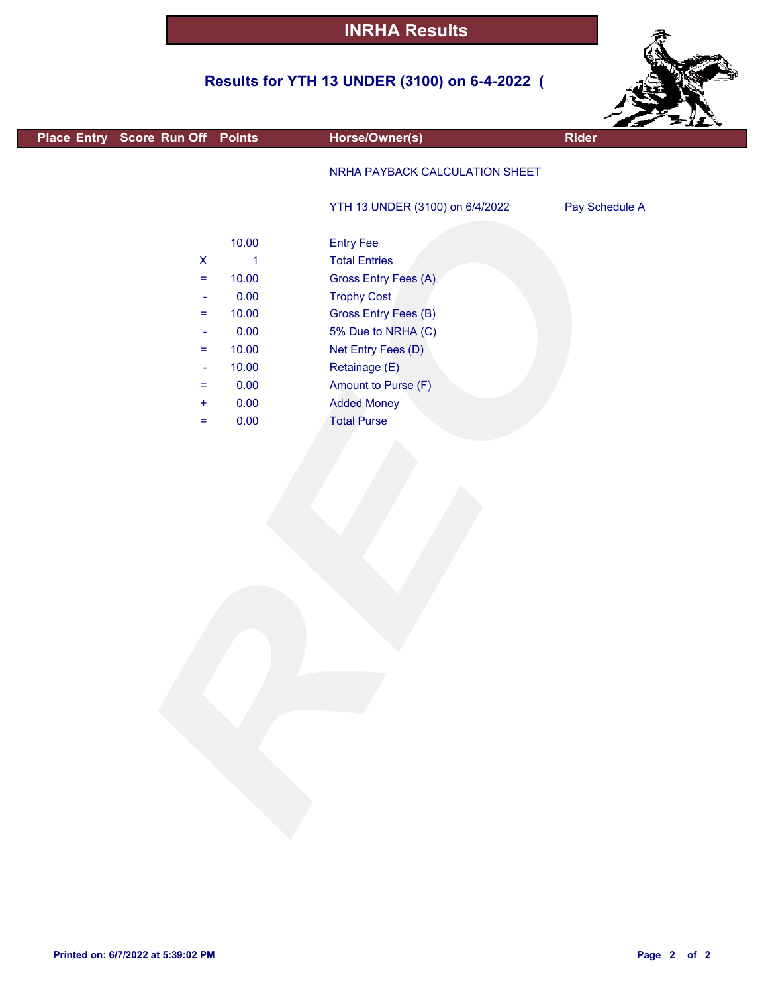## **Results for YTH 13 UNDER (3100) on 6-4-2022 (**



|                                  |              |                                 | <b>SANTA</b>   |  |
|----------------------------------|--------------|---------------------------------|----------------|--|
| Place Entry Score Run Off Points |              | Horse/Owner(s)                  | Rider          |  |
|                                  |              | NRHA PAYBACK CALCULATION SHEET  |                |  |
|                                  |              |                                 |                |  |
|                                  |              | YTH 13 UNDER (3100) on 6/4/2022 | Pay Schedule A |  |
|                                  |              |                                 |                |  |
|                                  | 10.00        | <b>Entry Fee</b>                |                |  |
| $\pmb{\mathsf{X}}$               | $\mathbf{1}$ | <b>Total Entries</b>            |                |  |
| $\equiv$                         | 10.00        | Gross Entry Fees (A)            |                |  |
| $\blacksquare$                   | 0.00         | <b>Trophy Cost</b>              |                |  |
| $\equiv$                         | 10.00        | Gross Entry Fees (B)            |                |  |
| $\blacksquare$                   | 0.00         | 5% Due to NRHA (C)              |                |  |
| $\equiv$                         | 10.00        | Net Entry Fees (D)              |                |  |
| $\blacksquare$                   | 10.00        | Retainage (E)                   |                |  |
| $\equiv$                         | 0.00         | Amount to Purse (F)             |                |  |
| $\pm$                            | 0.00         | <b>Added Money</b>              |                |  |
| $\equiv$                         | 0.00         | <b>Total Purse</b>              |                |  |
|                                  |              |                                 |                |  |
|                                  |              |                                 |                |  |
|                                  |              |                                 |                |  |
|                                  |              |                                 |                |  |
|                                  |              |                                 |                |  |
|                                  |              |                                 |                |  |
|                                  |              |                                 |                |  |
|                                  |              |                                 |                |  |
|                                  |              |                                 |                |  |
|                                  |              |                                 |                |  |
|                                  |              |                                 |                |  |
|                                  |              |                                 |                |  |
|                                  |              |                                 |                |  |
|                                  |              |                                 |                |  |
|                                  |              |                                 |                |  |
|                                  |              |                                 |                |  |
|                                  |              |                                 |                |  |
|                                  |              |                                 |                |  |
|                                  |              |                                 |                |  |
|                                  |              |                                 |                |  |
|                                  |              |                                 |                |  |
|                                  |              |                                 |                |  |
|                                  |              |                                 |                |  |
|                                  |              |                                 |                |  |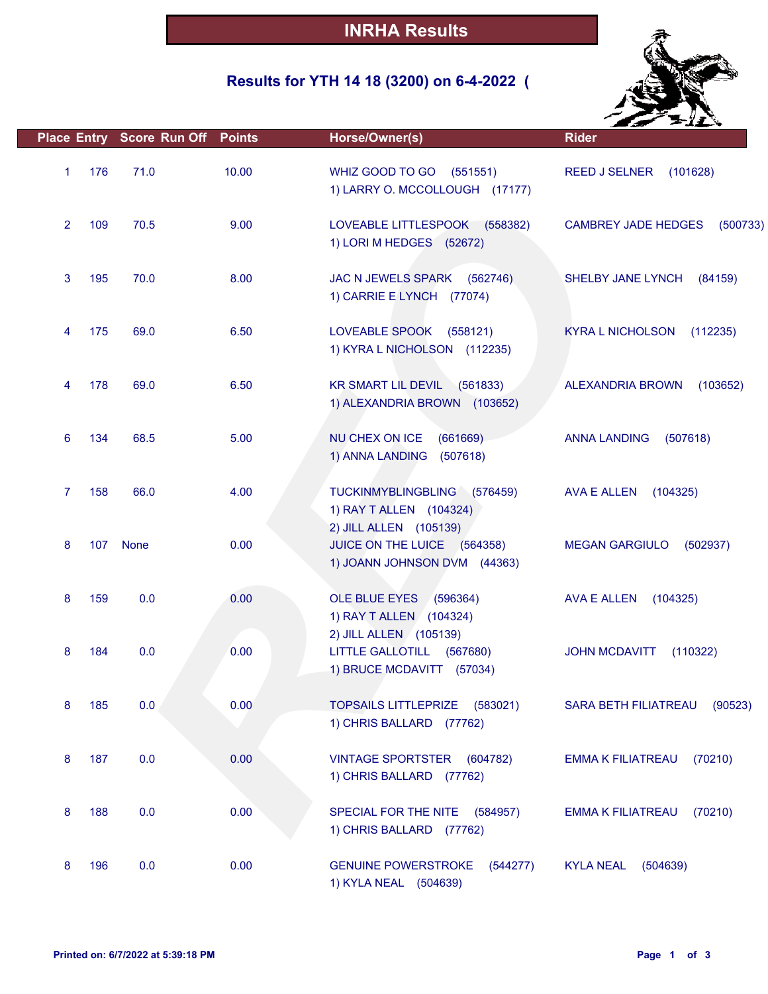## **Results for YTH 14 18 (3200) on 6-4-2022 (**



|                |     | <b>Place Entry Score Run Off Points</b> |       | Horse/Owner(s)                                                                   | <b>Rider</b>                           |
|----------------|-----|-----------------------------------------|-------|----------------------------------------------------------------------------------|----------------------------------------|
| 1              | 176 | 71.0                                    | 10.00 | WHIZ GOOD TO GO (551551)<br>1) LARRY O. MCCOLLOUGH (17177)                       | <b>REED J SELNER</b><br>(101628)       |
| 2              | 109 | 70.5                                    | 9.00  | LOVEABLE LITTLESPOOK<br>(558382)<br>1) LORI M HEDGES (52672)                     | <b>CAMBREY JADE HEDGES</b><br>(500733) |
| 3              | 195 | 70.0                                    | 8.00  | JAC N JEWELS SPARK (562746)<br>1) CARRIE E LYNCH (77074)                         | SHELBY JANE LYNCH<br>(84159)           |
| 4              | 175 | 69.0                                    | 6.50  | LOVEABLE SPOOK<br>(558121)<br>1) KYRA L NICHOLSON (112235)                       | <b>KYRA L NICHOLSON</b><br>(112235)    |
| 4              | 178 | 69.0                                    | 6.50  | KR SMART LIL DEVIL (561833)<br>1) ALEXANDRIA BROWN (103652)                      | ALEXANDRIA BROWN<br>(103652)           |
| 6              | 134 | 68.5                                    | 5.00  | NU CHEX ON ICE<br>(661669)<br>1) ANNA LANDING (507618)                           | (507618)<br><b>ANNA LANDING</b>        |
| $\overline{7}$ | 158 | 66.0                                    | 4.00  | TUCKINMYBLINGBLING (576459)<br>1) RAY T ALLEN (104324)<br>2) JILL ALLEN (105139) | AVA E ALLEN<br>(104325)                |
| 8              |     | 107 None                                | 0.00  | JUICE ON THE LUICE (564358)<br>1) JOANN JOHNSON DVM (44363)                      | <b>MEGAN GARGIULO</b><br>(502937)      |
| 8              | 159 | 0.0                                     | 0.00  | OLE BLUE EYES (596364)<br>1) RAY T ALLEN (104324)<br>2) JILL ALLEN (105139)      | AVA E ALLEN<br>(104325)                |
| 8              | 184 | 0.0                                     | 0.00  | LITTLE GALLOTILL (567680)<br>1) BRUCE MCDAVITT (57034)                           | <b>JOHN MCDAVITT</b><br>(110322)       |
| 8              | 185 | 0.0                                     | 0.00  | TOPSAILS LITTLEPRIZE (583021)<br>1) CHRIS BALLARD (77762)                        | SARA BETH FILIATREAU<br>(90523)        |
| 8              | 187 | 0.0                                     | 0.00  | <b>VINTAGE SPORTSTER</b><br>(604782)<br>1) CHRIS BALLARD (77762)                 | <b>EMMA K FILIATREAU</b><br>(70210)    |
| 8              | 188 | 0.0                                     | 0.00  | SPECIAL FOR THE NITE (584957)<br>1) CHRIS BALLARD (77762)                        | (70210)<br><b>EMMA K FILIATREAU</b>    |
| 8              | 196 | 0.0                                     | 0.00  | <b>GENUINE POWERSTROKE</b><br>(544277)<br>1) KYLA NEAL (504639)                  | <b>KYLA NEAL</b><br>(504639)           |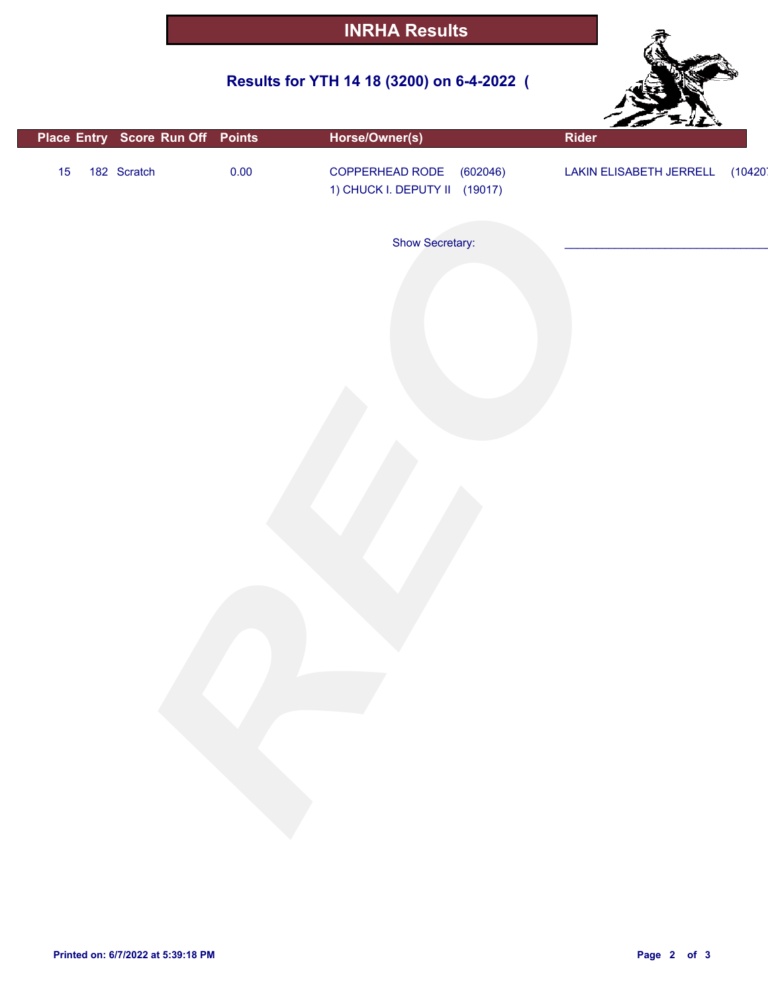## **Results for YTH 14 18 (3200) on 6-4-2022 (**



| Place Entry Score Run Off Points |      | Horse/Owner(s)                                               | Rider                   |         |
|----------------------------------|------|--------------------------------------------------------------|-------------------------|---------|
| 182 Scratch<br>15                | 0.00 | COPPERHEAD RODE<br>(602046)<br>1) CHUCK I. DEPUTY II (19017) | LAKIN ELISABETH JERRELL | (10420) |
|                                  |      | Show Secretary:                                              |                         |         |
|                                  |      |                                                              |                         |         |
|                                  |      |                                                              |                         |         |
|                                  |      |                                                              |                         |         |
|                                  |      |                                                              |                         |         |
|                                  |      |                                                              |                         |         |
|                                  |      |                                                              |                         |         |
|                                  |      |                                                              |                         |         |
|                                  |      |                                                              |                         |         |
|                                  |      |                                                              |                         |         |
|                                  |      |                                                              |                         |         |
|                                  |      |                                                              |                         |         |
|                                  |      |                                                              |                         |         |
|                                  |      |                                                              |                         |         |
|                                  |      |                                                              |                         |         |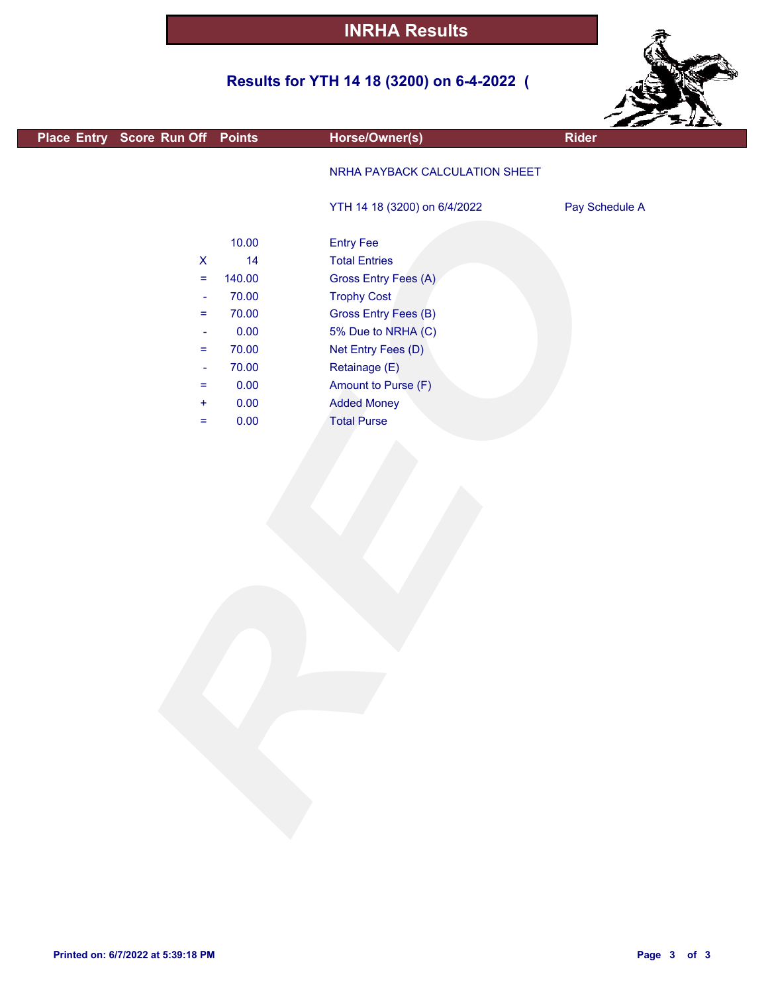## **Results for YTH 14 18 (3200) on 6-4-2022 (**



|                                  |        |                                | $\mathcal{L}$ $\mathcal{L}$ |
|----------------------------------|--------|--------------------------------|-----------------------------|
| Place Entry Score Run Off Points |        | Horse/Owner(s)                 | <b>Rider</b>                |
|                                  |        | NRHA PAYBACK CALCULATION SHEET |                             |
|                                  |        | YTH 14 18 (3200) on 6/4/2022   | Pay Schedule A              |
|                                  | 10.00  | <b>Entry Fee</b>               |                             |
| $\mathsf{X}$                     | 14     | <b>Total Entries</b>           |                             |
| $\equiv$                         | 140.00 | Gross Entry Fees (A)           |                             |
| $\blacksquare$                   | 70.00  | <b>Trophy Cost</b>             |                             |
| $\equiv$                         | 70.00  | Gross Entry Fees (B)           |                             |
| $\blacksquare$                   | 0.00   | 5% Due to NRHA (C)             |                             |
| $\equiv$                         | 70.00  | Net Entry Fees (D)             |                             |
| $\blacksquare$                   | 70.00  | Retainage (E)                  |                             |
| $\equiv$                         | 0.00   | Amount to Purse (F)            |                             |
| $\ddot{}$                        | 0.00   | <b>Added Money</b>             |                             |
| $\equiv$                         | 0.00   | <b>Total Purse</b>             |                             |
|                                  |        |                                |                             |
|                                  |        |                                |                             |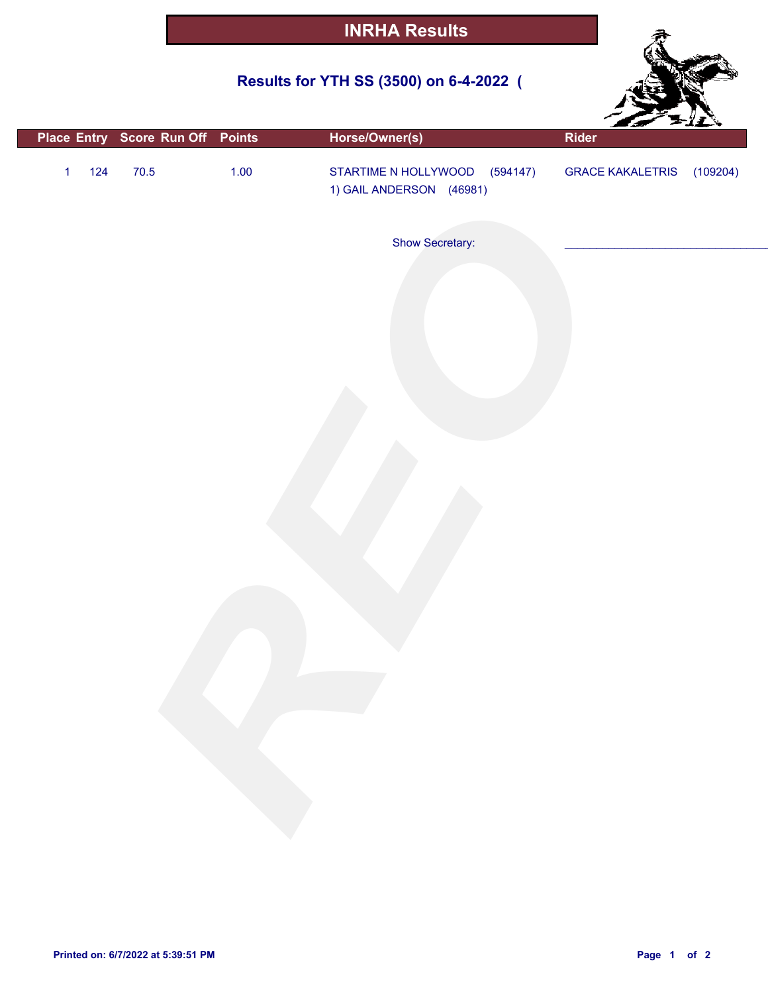## **Results for YTH SS (3500) on 6-4-2022 (**



|                       | Place Entry Score Run Off Points |        | Horse/Owner(s)                                            | Rider                     |  |
|-----------------------|----------------------------------|--------|-----------------------------------------------------------|---------------------------|--|
| $124$<br>$\mathbf{1}$ | $70.5$                           | $1.00$ | STARTIME N HOLLYWOOD (594147)<br>1) GAIL ANDERSON (46981) | GRACE KAKALETRIS (109204) |  |
|                       |                                  |        | Show Secretary:                                           |                           |  |
|                       |                                  |        |                                                           |                           |  |
|                       |                                  |        |                                                           |                           |  |
|                       |                                  |        |                                                           |                           |  |